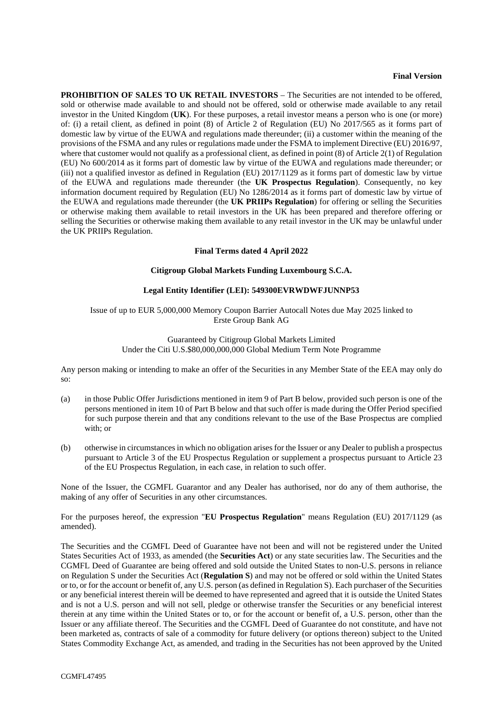## **Final Version**

**PROHIBITION OF SALES TO UK RETAIL INVESTORS** – The Securities are not intended to be offered, sold or otherwise made available to and should not be offered, sold or otherwise made available to any retail investor in the United Kingdom (**UK**). For these purposes, a retail investor means a person who is one (or more) of: (i) a retail client, as defined in point (8) of Article 2 of Regulation (EU) No 2017/565 as it forms part of domestic law by virtue of the EUWA and regulations made thereunder; (ii) a customer within the meaning of the provisions of the FSMA and any rules or regulations made under the FSMA to implement Directive (EU) 2016/97, where that customer would not qualify as a professional client, as defined in point  $(8)$  of Article 2(1) of Regulation (EU) No 600/2014 as it forms part of domestic law by virtue of the EUWA and regulations made thereunder; or (iii) not a qualified investor as defined in Regulation (EU) 2017/1129 as it forms part of domestic law by virtue of the EUWA and regulations made thereunder (the **UK Prospectus Regulation**). Consequently, no key information document required by Regulation (EU) No 1286/2014 as it forms part of domestic law by virtue of the EUWA and regulations made thereunder (the **UK PRIIPs Regulation**) for offering or selling the Securities or otherwise making them available to retail investors in the UK has been prepared and therefore offering or selling the Securities or otherwise making them available to any retail investor in the UK may be unlawful under the UK PRIIPs Regulation.

### **Final Terms dated 4 April 2022**

## **Citigroup Global Markets Funding Luxembourg S.C.A.**

## **Legal Entity Identifier (LEI): 549300EVRWDWFJUNNP53**

# Issue of up to EUR 5,000,000 Memory Coupon Barrier Autocall Notes due May 2025 linked to Erste Group Bank AG

# Guaranteed by Citigroup Global Markets Limited Under the Citi U.S.\$80,000,000,000 Global Medium Term Note Programme

Any person making or intending to make an offer of the Securities in any Member State of the EEA may only do so:

- (a) in those Public Offer Jurisdictions mentioned in item 9 of Part B below, provided such person is one of the persons mentioned in item 10 of Part B below and that such offer is made during the Offer Period specified for such purpose therein and that any conditions relevant to the use of the Base Prospectus are complied with; or
- (b) otherwise in circumstances in which no obligation arises for the Issuer or any Dealer to publish a prospectus pursuant to Article 3 of the EU Prospectus Regulation or supplement a prospectus pursuant to Article 23 of the EU Prospectus Regulation, in each case, in relation to such offer.

None of the Issuer, the CGMFL Guarantor and any Dealer has authorised, nor do any of them authorise, the making of any offer of Securities in any other circumstances.

For the purposes hereof, the expression "**EU Prospectus Regulation**" means Regulation (EU) 2017/1129 (as amended).

The Securities and the CGMFL Deed of Guarantee have not been and will not be registered under the United States Securities Act of 1933, as amended (the **Securities Act**) or any state securities law. The Securities and the CGMFL Deed of Guarantee are being offered and sold outside the United States to non-U.S. persons in reliance on Regulation S under the Securities Act (**Regulation S**) and may not be offered or sold within the United States or to, or for the account or benefit of, any U.S. person (as defined in Regulation S). Each purchaser of the Securities or any beneficial interest therein will be deemed to have represented and agreed that it is outside the United States and is not a U.S. person and will not sell, pledge or otherwise transfer the Securities or any beneficial interest therein at any time within the United States or to, or for the account or benefit of, a U.S. person, other than the Issuer or any affiliate thereof. The Securities and the CGMFL Deed of Guarantee do not constitute, and have not been marketed as, contracts of sale of a commodity for future delivery (or options thereon) subject to the United States Commodity Exchange Act, as amended, and trading in the Securities has not been approved by the United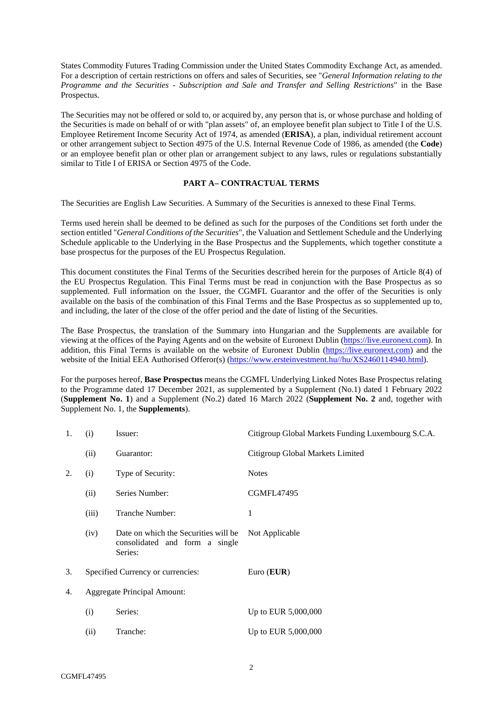States Commodity Futures Trading Commission under the United States Commodity Exchange Act, as amended. For a description of certain restrictions on offers and sales of Securities, see "*General Information relating to the Programme and the Securities - Subscription and Sale and Transfer and Selling Restrictions*" in the Base Prospectus.

The Securities may not be offered or sold to, or acquired by, any person that is, or whose purchase and holding of the Securities is made on behalf of or with "plan assets" of, an employee benefit plan subject to Title I of the U.S. Employee Retirement Income Security Act of 1974, as amended (**ERISA**), a plan, individual retirement account or other arrangement subject to Section 4975 of the U.S. Internal Revenue Code of 1986, as amended (the **Code**) or an employee benefit plan or other plan or arrangement subject to any laws, rules or regulations substantially similar to Title I of ERISA or Section 4975 of the Code.

## **PART A– CONTRACTUAL TERMS**

The Securities are English Law Securities. A Summary of the Securities is annexed to these Final Terms.

Terms used herein shall be deemed to be defined as such for the purposes of the Conditions set forth under the section entitled "*General Conditions of the Securities*", the Valuation and Settlement Schedule and the Underlying Schedule applicable to the Underlying in the Base Prospectus and the Supplements, which together constitute a base prospectus for the purposes of the EU Prospectus Regulation.

This document constitutes the Final Terms of the Securities described herein for the purposes of Article 8(4) of the EU Prospectus Regulation. This Final Terms must be read in conjunction with the Base Prospectus as so supplemented. Full information on the Issuer, the CGMFL Guarantor and the offer of the Securities is only available on the basis of the combination of this Final Terms and the Base Prospectus as so supplemented up to, and including, the later of the close of the offer period and the date of listing of the Securities.

The Base Prospectus, the translation of the Summary into Hungarian and the Supplements are available for viewing at the offices of the Paying Agents and on the website of Euronext Dublin [\(https://live.euronext.com\)](https://live.euronext.com/). In addition, this Final Terms is available on the website of Euronext Dublin [\(https://live.euronext.com\)](https://live.euronext.com/) and the website of the Initial EEA Authorised Offeror(s) [\(https://www.ersteinvestment.hu//hu/XS2460114940.html\)](https://www.ersteinvestment.hu/hu/XS2460114940.html).

For the purposes hereof, **Base Prospectus** means the CGMFL Underlying Linked Notes Base Prospectus relating to the Programme dated 17 December 2021, as supplemented by a Supplement (No.1) dated 1 February 2022 (**Supplement No. 1**) and a Supplement (No.2) dated 16 March 2022 (**Supplement No. 2** and, together with Supplement No. 1, the **Supplements**).

| 1. | (i)                                | Issuer:                                                                           | Citigroup Global Markets Funding Luxembourg S.C.A. |
|----|------------------------------------|-----------------------------------------------------------------------------------|----------------------------------------------------|
|    | (ii)                               | Guarantor:                                                                        | Citigroup Global Markets Limited                   |
| 2. | (i)                                | Type of Security:                                                                 | <b>Notes</b>                                       |
|    | (ii)                               | Series Number:                                                                    | <b>CGMFL47495</b>                                  |
|    | (iii)                              | Tranche Number:                                                                   | 1                                                  |
|    | (iv)                               | Date on which the Securities will be<br>consolidated and form a single<br>Series: | Not Applicable                                     |
| 3. | Specified Currency or currencies:  |                                                                                   | Euro $(EUR)$                                       |
| 4. | <b>Aggregate Principal Amount:</b> |                                                                                   |                                                    |
|    | (i)                                | Series:                                                                           | Up to EUR 5,000,000                                |
|    | (ii)                               | Tranche:                                                                          | Up to EUR 5,000,000                                |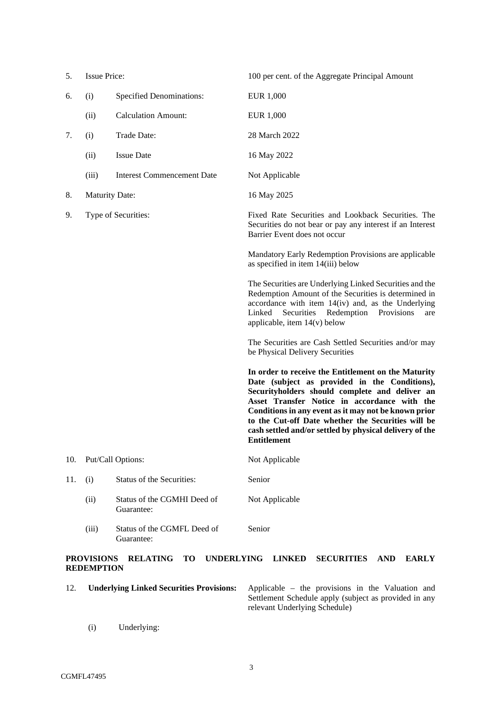| 5.  | <b>Issue Price:</b>   |                                           | 100 per cent. of the Aggregate Principal Amount                                                                                                                                                                                                                                                                                                                                                       |  |
|-----|-----------------------|-------------------------------------------|-------------------------------------------------------------------------------------------------------------------------------------------------------------------------------------------------------------------------------------------------------------------------------------------------------------------------------------------------------------------------------------------------------|--|
| 6.  | (i)                   | <b>Specified Denominations:</b>           | EUR 1,000                                                                                                                                                                                                                                                                                                                                                                                             |  |
|     | (ii)                  | <b>Calculation Amount:</b>                | EUR 1,000                                                                                                                                                                                                                                                                                                                                                                                             |  |
| 7.  | (i)                   | Trade Date:                               | 28 March 2022                                                                                                                                                                                                                                                                                                                                                                                         |  |
|     | (ii)                  | <b>Issue Date</b>                         | 16 May 2022                                                                                                                                                                                                                                                                                                                                                                                           |  |
|     | (iii)                 | <b>Interest Commencement Date</b>         | Not Applicable                                                                                                                                                                                                                                                                                                                                                                                        |  |
| 8.  | <b>Maturity Date:</b> |                                           | 16 May 2025                                                                                                                                                                                                                                                                                                                                                                                           |  |
| 9.  |                       | Type of Securities:                       | Fixed Rate Securities and Lookback Securities. The<br>Securities do not bear or pay any interest if an Interest<br>Barrier Event does not occur                                                                                                                                                                                                                                                       |  |
|     |                       |                                           | Mandatory Early Redemption Provisions are applicable<br>as specified in item 14(iii) below                                                                                                                                                                                                                                                                                                            |  |
|     |                       |                                           | The Securities are Underlying Linked Securities and the<br>Redemption Amount of the Securities is determined in<br>accordance with item 14(iv) and, as the Underlying<br>Securities<br>Redemption<br>Linked<br>Provisions<br>are<br>applicable, item $14(v)$ below                                                                                                                                    |  |
|     |                       |                                           | The Securities are Cash Settled Securities and/or may<br>be Physical Delivery Securities                                                                                                                                                                                                                                                                                                              |  |
|     |                       |                                           | In order to receive the Entitlement on the Maturity<br>Date (subject as provided in the Conditions),<br>Securityholders should complete and deliver an<br>Asset Transfer Notice in accordance with the<br>Conditions in any event as it may not be known prior<br>to the Cut-off Date whether the Securities will be<br>cash settled and/or settled by physical delivery of the<br><b>Entitlement</b> |  |
| 10. |                       | Put/Call Options:                         | Not Applicable                                                                                                                                                                                                                                                                                                                                                                                        |  |
| 11. | (i)                   | Status of the Securities:                 | Senior                                                                                                                                                                                                                                                                                                                                                                                                |  |
|     | (ii)                  | Status of the CGMHI Deed of<br>Guarantee: | Not Applicable                                                                                                                                                                                                                                                                                                                                                                                        |  |
|     | (iii)                 | Status of the CGMFL Deed of<br>Guarantee: | Senior                                                                                                                                                                                                                                                                                                                                                                                                |  |

# **PROVISIONS RELATING TO UNDERLYING LINKED SECURITIES AND EARLY REDEMPTION**

12. **Underlying Linked Securities Provisions:** Applicable – the provisions in the Valuation and Settlement Schedule apply (subject as provided in any relevant Underlying Schedule)

(i) Underlying: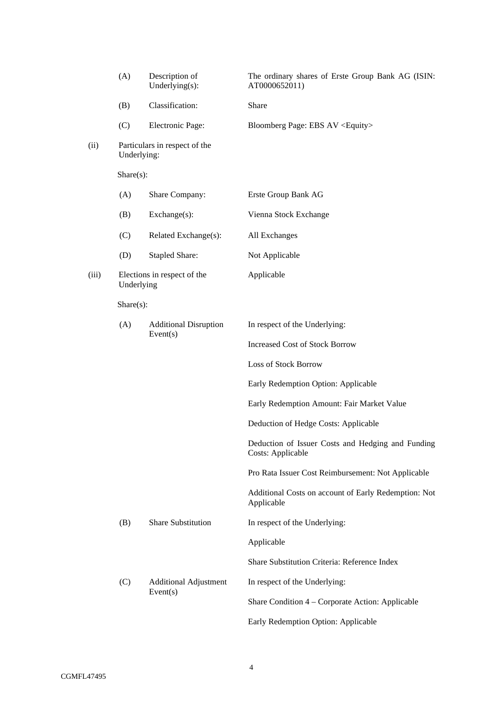|       | (A)         | Description of<br>Underlying $(s)$ :     | The ordinary shares of Erste Group Bank AG (ISIN:<br>AT0000652011)            |  |
|-------|-------------|------------------------------------------|-------------------------------------------------------------------------------|--|
|       | (B)         | Classification:                          | Share                                                                         |  |
|       | (C)         | Electronic Page:                         | Bloomberg Page: EBS AV <equity></equity>                                      |  |
| (ii)  | Underlying: | Particulars in respect of the            |                                                                               |  |
|       | Share(s):   |                                          |                                                                               |  |
|       | (A)         | Share Company:                           | Erste Group Bank AG                                                           |  |
|       | (B)         | Exchange(s):                             | Vienna Stock Exchange                                                         |  |
|       | (C)         | Related Exchange(s):                     | All Exchanges                                                                 |  |
|       | (D)         | <b>Stapled Share:</b>                    | Not Applicable                                                                |  |
| (iii) | Underlying  | Elections in respect of the              | Applicable                                                                    |  |
|       | Share(s):   |                                          |                                                                               |  |
|       | (A)         | <b>Additional Disruption</b><br>Event(s) | In respect of the Underlying:                                                 |  |
|       |             |                                          | <b>Increased Cost of Stock Borrow</b>                                         |  |
|       |             |                                          | Loss of Stock Borrow                                                          |  |
|       |             |                                          | Early Redemption Option: Applicable                                           |  |
|       |             |                                          | Early Redemption Amount: Fair Market Value                                    |  |
|       |             |                                          | Deduction of Hedge Costs: Applicable                                          |  |
|       |             |                                          | Deduction of Issuer Costs and Hedging and Funding<br><b>Costs: Applicable</b> |  |
|       |             |                                          | Pro Rata Issuer Cost Reimbursement: Not Applicable                            |  |
|       |             |                                          | Additional Costs on account of Early Redemption: Not<br>Applicable            |  |
|       | (B)         | <b>Share Substitution</b>                | In respect of the Underlying:                                                 |  |
|       |             |                                          | Applicable                                                                    |  |
|       |             |                                          | Share Substitution Criteria: Reference Index                                  |  |
|       | (C)         | <b>Additional Adjustment</b><br>Event(s) | In respect of the Underlying:                                                 |  |
|       |             |                                          | Share Condition 4 – Corporate Action: Applicable                              |  |
|       |             |                                          | Early Redemption Option: Applicable                                           |  |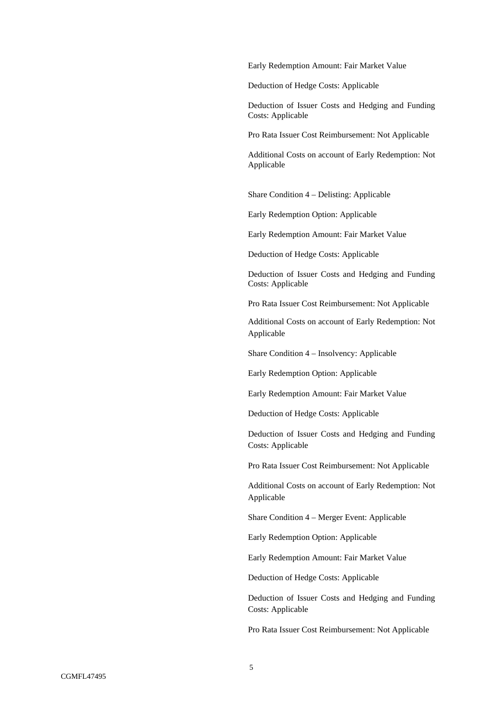Early Redemption Amount: Fair Market Value

Deduction of Hedge Costs: Applicable

Deduction of Issuer Costs and Hedging and Funding Costs: Applicable

Pro Rata Issuer Cost Reimbursement: Not Applicable

Additional Costs on account of Early Redemption: Not Applicable

Share Condition 4 – Delisting: Applicable

Early Redemption Option: Applicable

Early Redemption Amount: Fair Market Value

Deduction of Hedge Costs: Applicable

Deduction of Issuer Costs and Hedging and Funding Costs: Applicable

Pro Rata Issuer Cost Reimbursement: Not Applicable

Additional Costs on account of Early Redemption: Not Applicable

Share Condition 4 – Insolvency: Applicable

Early Redemption Option: Applicable

Early Redemption Amount: Fair Market Value

Deduction of Hedge Costs: Applicable

Deduction of Issuer Costs and Hedging and Funding Costs: Applicable

Pro Rata Issuer Cost Reimbursement: Not Applicable

Additional Costs on account of Early Redemption: Not Applicable

Share Condition 4 – Merger Event: Applicable

Early Redemption Option: Applicable

Early Redemption Amount: Fair Market Value

Deduction of Hedge Costs: Applicable

Deduction of Issuer Costs and Hedging and Funding Costs: Applicable

Pro Rata Issuer Cost Reimbursement: Not Applicable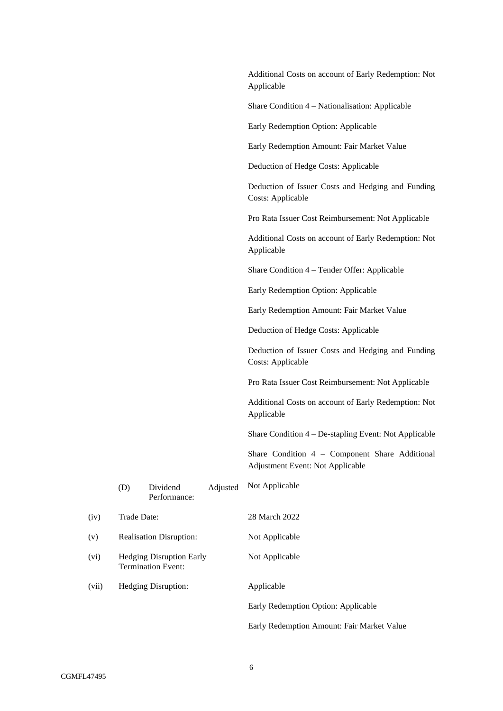|       |             |                                                              |          | Additional Costs on account of Early Redemption: Not<br>Applicable                 |
|-------|-------------|--------------------------------------------------------------|----------|------------------------------------------------------------------------------------|
|       |             |                                                              |          | Share Condition 4 – Nationalisation: Applicable                                    |
|       |             |                                                              |          | Early Redemption Option: Applicable                                                |
|       |             |                                                              |          | Early Redemption Amount: Fair Market Value                                         |
|       |             |                                                              |          | Deduction of Hedge Costs: Applicable                                               |
|       |             |                                                              |          | Deduction of Issuer Costs and Hedging and Funding<br>Costs: Applicable             |
|       |             |                                                              |          | Pro Rata Issuer Cost Reimbursement: Not Applicable                                 |
|       |             |                                                              |          | Additional Costs on account of Early Redemption: Not<br>Applicable                 |
|       |             |                                                              |          | Share Condition 4 - Tender Offer: Applicable                                       |
|       |             |                                                              |          | Early Redemption Option: Applicable                                                |
|       |             |                                                              |          | Early Redemption Amount: Fair Market Value                                         |
|       |             |                                                              |          | Deduction of Hedge Costs: Applicable                                               |
|       |             |                                                              |          | Deduction of Issuer Costs and Hedging and Funding<br>Costs: Applicable             |
|       |             |                                                              |          | Pro Rata Issuer Cost Reimbursement: Not Applicable                                 |
|       |             |                                                              |          | Additional Costs on account of Early Redemption: Not<br>Applicable                 |
|       |             |                                                              |          | Share Condition 4 – De-stapling Event: Not Applicable                              |
|       |             |                                                              |          | Share Condition 4 - Component Share Additional<br>Adjustment Event: Not Applicable |
|       | (D)         | Dividend<br>Performance:                                     | Adjusted | Not Applicable                                                                     |
| (iv)  | Trade Date: |                                                              |          | 28 March 2022                                                                      |
| (v)   |             | <b>Realisation Disruption:</b>                               |          | Not Applicable                                                                     |
| (vi)  |             | <b>Hedging Disruption Early</b><br><b>Termination Event:</b> |          | Not Applicable                                                                     |
| (vii) |             | Hedging Disruption:                                          |          | Applicable                                                                         |
|       |             |                                                              |          | Early Redemption Option: Applicable                                                |

Early Redemption Amount: Fair Market Value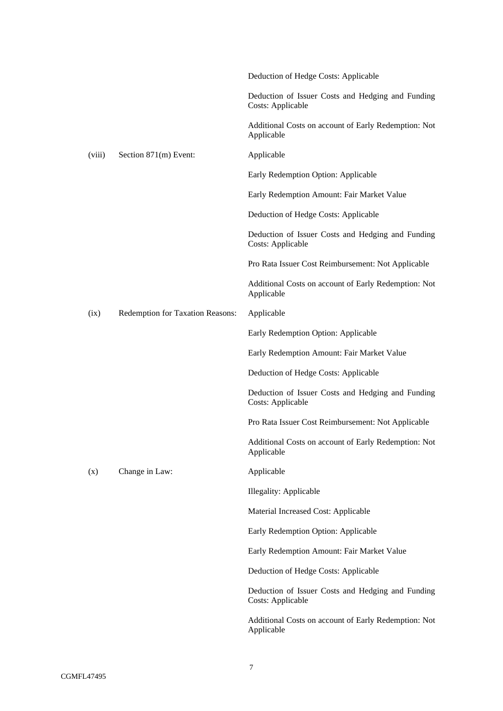|        |                                  | Deduction of Hedge Costs: Applicable                                   |
|--------|----------------------------------|------------------------------------------------------------------------|
|        |                                  | Deduction of Issuer Costs and Hedging and Funding<br>Costs: Applicable |
|        |                                  | Additional Costs on account of Early Redemption: Not<br>Applicable     |
| (viii) | Section 871(m) Event:            | Applicable                                                             |
|        |                                  | Early Redemption Option: Applicable                                    |
|        |                                  | Early Redemption Amount: Fair Market Value                             |
|        |                                  | Deduction of Hedge Costs: Applicable                                   |
|        |                                  | Deduction of Issuer Costs and Hedging and Funding<br>Costs: Applicable |
|        |                                  | Pro Rata Issuer Cost Reimbursement: Not Applicable                     |
|        |                                  | Additional Costs on account of Early Redemption: Not<br>Applicable     |
| (ix)   | Redemption for Taxation Reasons: | Applicable                                                             |
|        |                                  | Early Redemption Option: Applicable                                    |
|        |                                  | Early Redemption Amount: Fair Market Value                             |
|        |                                  | Deduction of Hedge Costs: Applicable                                   |
|        |                                  | Deduction of Issuer Costs and Hedging and Funding<br>Costs: Applicable |
|        |                                  | Pro Rata Issuer Cost Reimbursement: Not Applicable                     |
|        |                                  | Additional Costs on account of Early Redemption: Not<br>Applicable     |
| (x)    | Change in Law:                   | Applicable                                                             |
|        |                                  | Illegality: Applicable                                                 |
|        |                                  | Material Increased Cost: Applicable                                    |
|        |                                  | Early Redemption Option: Applicable                                    |
|        |                                  | Early Redemption Amount: Fair Market Value                             |
|        |                                  | Deduction of Hedge Costs: Applicable                                   |
|        |                                  | Deduction of Issuer Costs and Hedging and Funding<br>Costs: Applicable |
|        |                                  | Additional Costs on account of Early Redemption: Not<br>Applicable     |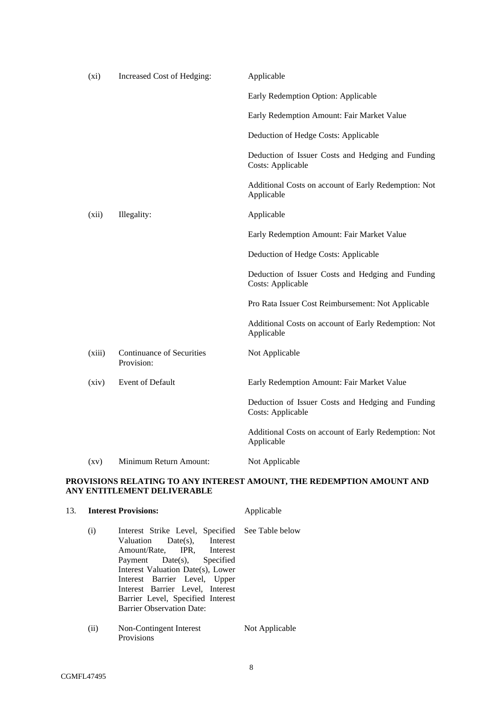| (xi)               | Increased Cost of Hedging:                     | Applicable                                                                    |
|--------------------|------------------------------------------------|-------------------------------------------------------------------------------|
|                    |                                                | Early Redemption Option: Applicable                                           |
|                    |                                                | Early Redemption Amount: Fair Market Value                                    |
|                    |                                                | Deduction of Hedge Costs: Applicable                                          |
|                    |                                                | Deduction of Issuer Costs and Hedging and Funding<br>Costs: Applicable        |
|                    |                                                | Additional Costs on account of Early Redemption: Not<br>Applicable            |
| (xii)              | Illegality:                                    | Applicable                                                                    |
|                    |                                                | Early Redemption Amount: Fair Market Value                                    |
|                    |                                                | Deduction of Hedge Costs: Applicable                                          |
|                    |                                                | Deduction of Issuer Costs and Hedging and Funding<br><b>Costs: Applicable</b> |
|                    |                                                | Pro Rata Issuer Cost Reimbursement: Not Applicable                            |
|                    |                                                | Additional Costs on account of Early Redemption: Not<br>Applicable            |
| (xiii)             | <b>Continuance of Securities</b><br>Provision: | Not Applicable                                                                |
| (xiv)              | Event of Default                               | Early Redemption Amount: Fair Market Value                                    |
|                    |                                                | Deduction of Issuer Costs and Hedging and Funding<br><b>Costs: Applicable</b> |
|                    |                                                | Additional Costs on account of Early Redemption: Not<br>Applicable            |
| $\left( xy\right)$ | Minimum Return Amount:                         | Not Applicable                                                                |

# **PROVISIONS RELATING TO ANY INTEREST AMOUNT, THE REDEMPTION AMOUNT AND ANY ENTITLEMENT DELIVERABLE**

|      | 13. <b>Interest Provisions:</b>                                                                                                                                                                                                                                                                                                | Applicable     |
|------|--------------------------------------------------------------------------------------------------------------------------------------------------------------------------------------------------------------------------------------------------------------------------------------------------------------------------------|----------------|
| (i)  | Interest Strike Level, Specified See Table below<br>Valuation Date(s), Interest<br>Amount/Rate, IPR, Interest<br>Payment Date(s), Specified<br>Interest Valuation Date(s), Lower<br>Interest Barrier Level, Upper<br>Interest Barrier Level, Interest<br>Barrier Level, Specified Interest<br><b>Barrier Observation Date:</b> |                |
| (ii) | Non-Contingent Interest<br>Provisions                                                                                                                                                                                                                                                                                          | Not Applicable |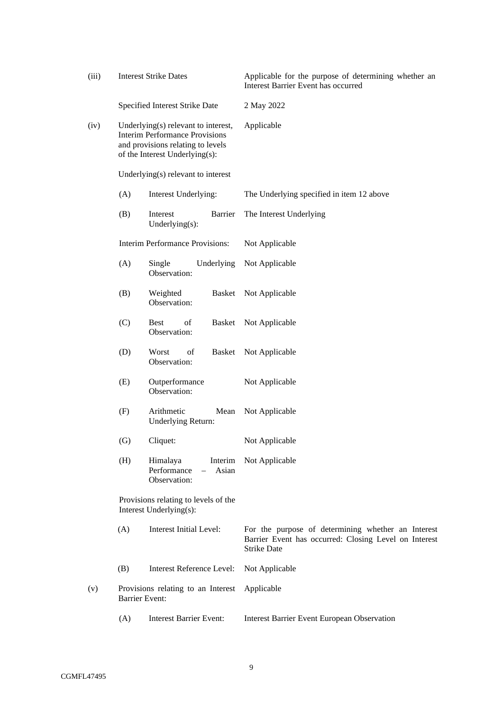| (iii) |                                                                 | <b>Interest Strike Dates</b>                                                                                                                        | Applicable for the purpose of determining whether an<br>Interest Barrier Event has occurred                                       |
|-------|-----------------------------------------------------------------|-----------------------------------------------------------------------------------------------------------------------------------------------------|-----------------------------------------------------------------------------------------------------------------------------------|
|       |                                                                 | Specified Interest Strike Date                                                                                                                      | 2 May 2022                                                                                                                        |
| (iv)  |                                                                 | Underlying(s) relevant to interest,<br><b>Interim Performance Provisions</b><br>and provisions relating to levels<br>of the Interest Underlying(s): | Applicable                                                                                                                        |
|       |                                                                 | Underlying(s) relevant to interest                                                                                                                  |                                                                                                                                   |
|       | (A)                                                             | Interest Underlying:                                                                                                                                | The Underlying specified in item 12 above                                                                                         |
|       | (B)                                                             | Barrier<br>Interest<br>Underlying(s):                                                                                                               | The Interest Underlying                                                                                                           |
|       |                                                                 | <b>Interim Performance Provisions:</b>                                                                                                              | Not Applicable                                                                                                                    |
|       | (A)                                                             | Single<br>Underlying<br>Observation:                                                                                                                | Not Applicable                                                                                                                    |
|       | (B)                                                             | Weighted<br>Basket<br>Observation:                                                                                                                  | Not Applicable                                                                                                                    |
|       | (C)                                                             | <b>Best</b><br>οf<br>Basket<br>Observation:                                                                                                         | Not Applicable                                                                                                                    |
|       | (D)                                                             | Worst<br>of<br>Basket<br>Observation:                                                                                                               | Not Applicable                                                                                                                    |
|       | (E)                                                             | Outperformance<br>Observation:                                                                                                                      | Not Applicable                                                                                                                    |
|       | (F)                                                             | Arithmetic<br>Mean<br>Underlying Return:                                                                                                            | Not Applicable                                                                                                                    |
|       | $\left( G\right)$                                               | Cliquet:                                                                                                                                            | Not Applicable                                                                                                                    |
|       | (H)                                                             | Himalaya<br>Interim<br>Performance<br>Asian<br>Observation:                                                                                         | Not Applicable                                                                                                                    |
|       | Provisions relating to levels of the<br>Interest Underlying(s): |                                                                                                                                                     |                                                                                                                                   |
|       | (A)                                                             | <b>Interest Initial Level:</b>                                                                                                                      | For the purpose of determining whether an Interest<br>Barrier Event has occurred: Closing Level on Interest<br><b>Strike Date</b> |
|       | (B)                                                             | <b>Interest Reference Level:</b>                                                                                                                    | Not Applicable                                                                                                                    |
| (v)   |                                                                 | Provisions relating to an Interest<br><b>Barrier Event:</b>                                                                                         | Applicable                                                                                                                        |
|       | (A)                                                             | <b>Interest Barrier Event:</b>                                                                                                                      | <b>Interest Barrier Event European Observation</b>                                                                                |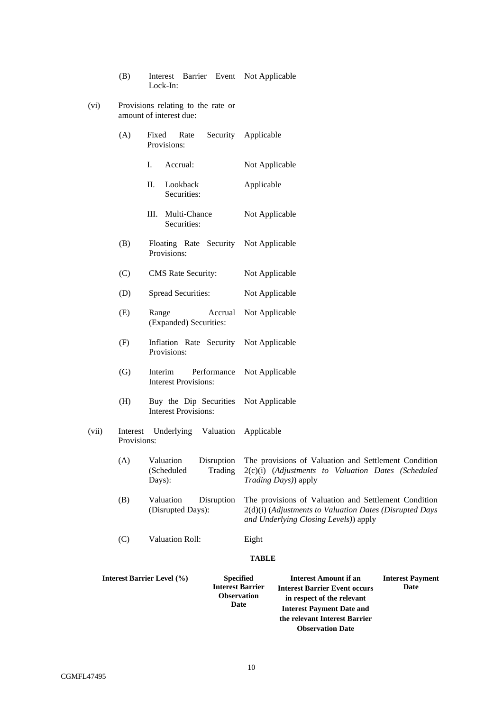|       | (B)                     | Interest Barrier Event Not Applicable<br>Lock-In:                                                              |                                                                                                                                                                                                            |
|-------|-------------------------|----------------------------------------------------------------------------------------------------------------|------------------------------------------------------------------------------------------------------------------------------------------------------------------------------------------------------------|
| (vi)  |                         | Provisions relating to the rate or<br>amount of interest due:                                                  |                                                                                                                                                                                                            |
|       | (A)                     | Security<br>Fixed<br>Rate<br>Provisions:                                                                       | Applicable                                                                                                                                                                                                 |
|       |                         | I.<br>Accrual:                                                                                                 | Not Applicable                                                                                                                                                                                             |
|       |                         | П.<br>Lookback<br>Securities:                                                                                  | Applicable                                                                                                                                                                                                 |
|       |                         | III. Multi-Chance<br>Securities:                                                                               | Not Applicable                                                                                                                                                                                             |
|       | (B)                     | Floating Rate Security Not Applicable<br>Provisions:                                                           |                                                                                                                                                                                                            |
|       | (C)                     | <b>CMS</b> Rate Security:                                                                                      | Not Applicable                                                                                                                                                                                             |
|       | (D)                     | <b>Spread Securities:</b>                                                                                      | Not Applicable                                                                                                                                                                                             |
|       | (E)                     | Range<br>Accrual<br>(Expanded) Securities:                                                                     | Not Applicable                                                                                                                                                                                             |
|       | (F)                     | Inflation Rate Security<br>Provisions:                                                                         | Not Applicable                                                                                                                                                                                             |
|       | (G)                     | Performance<br>Interim<br><b>Interest Provisions:</b>                                                          | Not Applicable                                                                                                                                                                                             |
|       | (H)                     | Buy the Dip Securities<br><b>Interest Provisions:</b>                                                          | Not Applicable                                                                                                                                                                                             |
| (vii) | Interest<br>Provisions: | Underlying Valuation                                                                                           | Applicable                                                                                                                                                                                                 |
|       | (A)                     | Valuation<br>Disruption<br>(Scheduled<br>Trading<br>Days):                                                     | The provisions of Valuation and Settlement Condition<br>2(c)(i) (Adjustments to Valuation Dates (Scheduled<br>Trading Days)) apply                                                                         |
|       | (B)                     | Valuation<br>Disruption<br>(Disrupted Days):                                                                   | The provisions of Valuation and Settlement Condition<br>2(d)(i) (Adjustments to Valuation Dates (Disrupted Days<br>and Underlying Closing Levels)) apply                                                   |
|       | (C)                     | <b>Valuation Roll:</b>                                                                                         | Eight                                                                                                                                                                                                      |
|       |                         |                                                                                                                | <b>TABLE</b>                                                                                                                                                                                               |
|       |                         | <b>Interest Barrier Level (%)</b><br><b>Specified</b><br><b>Interest Barrier</b><br><b>Observation</b><br>Date | <b>Interest Amount if an</b><br><b>Interest Payment</b><br>Date<br><b>Interest Barrier Event occurs</b><br>in respect of the relevant<br><b>Interest Payment Date and</b><br>the relevant Interest Barrier |

**Observation Date**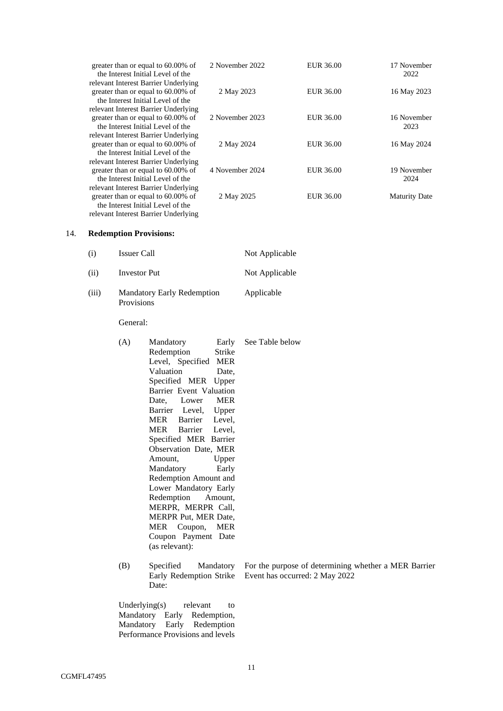| greater than or equal to 60.00% of<br>the Interest Initial Level of the    | 2 November 2022 | EUR 36.00 | 17 November<br>2022  |
|----------------------------------------------------------------------------|-----------------|-----------|----------------------|
| relevant Interest Barrier Underlying<br>greater than or equal to 60.00% of | 2 May 2023      | EUR 36.00 | 16 May 2023          |
| the Interest Initial Level of the                                          |                 |           |                      |
| relevant Interest Barrier Underlying                                       |                 |           |                      |
| greater than or equal to 60.00% of                                         | 2 November 2023 | EUR 36.00 | 16 November          |
| the Interest Initial Level of the                                          |                 |           | 2023                 |
| relevant Interest Barrier Underlying                                       |                 |           |                      |
| greater than or equal to 60.00% of                                         | 2 May 2024      | EUR 36.00 | 16 May 2024          |
| the Interest Initial Level of the                                          |                 |           |                      |
| relevant Interest Barrier Underlying                                       |                 |           |                      |
| greater than or equal to 60.00% of                                         | 4 November 2024 | EUR 36.00 | 19 November          |
| the Interest Initial Level of the                                          |                 |           | 2024                 |
| relevant Interest Barrier Underlying                                       |                 |           |                      |
| greater than or equal to 60.00% of                                         | 2 May 2025      | EUR 36.00 | <b>Maturity Date</b> |
| the Interest Initial Level of the                                          |                 |           |                      |
| relevant Interest Barrier Underlying                                       |                 |           |                      |

# 14. **Redemption Provisions:**

| (i)   | Issuer Call                                     | Not Applicable |
|-------|-------------------------------------------------|----------------|
| (ii)  | Investor Put                                    | Not Applicable |
| (iii) | <b>Mandatory Early Redemption</b><br>Provisions | Applicable     |

General:

| (A) | Mandatory Early See Table below |  |
|-----|---------------------------------|--|
|     | Redemption Strike               |  |
|     | Level, Specified MER            |  |
|     | Valuation<br>Date,              |  |
|     | Specified MER Upper             |  |
|     | Barrier Event Valuation         |  |
|     | Date, Lower MER                 |  |
|     | Barrier Level, Upper            |  |
|     | MER Barrier Level,              |  |
|     | MER Barrier Level,              |  |
|     | Specified MER Barrier           |  |
|     | Observation Date, MER           |  |
|     | Upper<br>Amount,                |  |
|     | Early<br>Mandatory              |  |
|     | Redemption Amount and           |  |
|     | Lower Mandatory Early           |  |
|     | Redemption Amount,              |  |
|     | MERPR, MERPR Call,              |  |
|     | <b>MERPR Put, MER Date,</b>     |  |
|     | MER Coupon, MER                 |  |
|     | Coupon Payment Date             |  |
|     | (as relevant):                  |  |
|     |                                 |  |

(B) Specified Mandatory For the purpose of determining whether a MER Barrier Early Redemption Strike Event has occurred: 2 May 2022 Date:

Underlying(s) relevant to Mandatory Early Redemption, Mandatory Early Redemption Performance Provisions and levels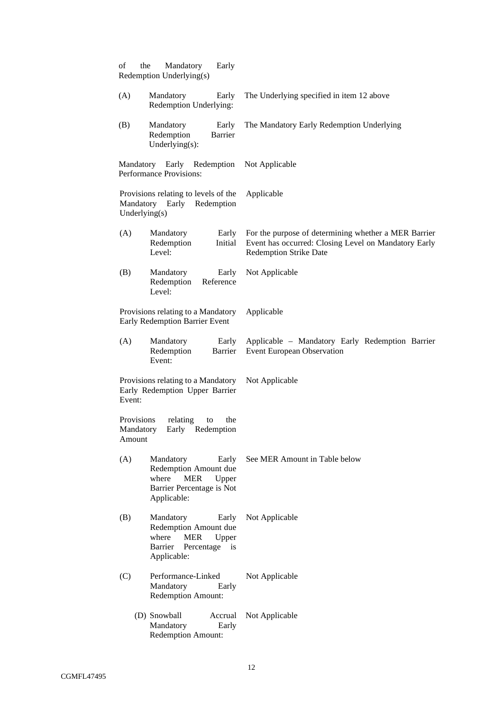| of<br>the<br>Redemption Underlying(s) | Mandatory<br>Early                                                                                             |                                                                                                                                               |
|---------------------------------------|----------------------------------------------------------------------------------------------------------------|-----------------------------------------------------------------------------------------------------------------------------------------------|
| (A)                                   | Mandatory<br>Early<br>Redemption Underlying:                                                                   | The Underlying specified in item 12 above                                                                                                     |
| (B)                                   | Mandatory<br>Early<br>Redemption<br>Barrier<br>Underlying $(s)$ :                                              | The Mandatory Early Redemption Underlying                                                                                                     |
| Performance Provisions:               | Mandatory Early Redemption                                                                                     | Not Applicable                                                                                                                                |
| Underlying(s)                         | Provisions relating to levels of the<br>Mandatory Early Redemption                                             | Applicable                                                                                                                                    |
| (A)<br>Level:                         | Mandatory<br>Early<br>Redemption<br>Initial                                                                    | For the purpose of determining whether a MER Barrier<br>Event has occurred: Closing Level on Mandatory Early<br><b>Redemption Strike Date</b> |
| (B)<br>Level:                         | Mandatory<br>Early<br>Redemption<br>Reference                                                                  | Not Applicable                                                                                                                                |
|                                       | Provisions relating to a Mandatory<br>Early Redemption Barrier Event                                           | Applicable                                                                                                                                    |
| (A)<br>Event:                         | Mandatory<br>Early<br>Redemption<br>Barrier                                                                    | Applicable - Mandatory Early Redemption Barrier<br><b>Event European Observation</b>                                                          |
| Event:                                | Provisions relating to a Mandatory<br>Early Redemption Upper Barrier                                           | Not Applicable                                                                                                                                |
| Provisions<br>Mandatory<br>Amount     | relating<br>the<br>to<br>Early Redemption                                                                      |                                                                                                                                               |
| (A)<br>where                          | Mandatory<br>Early<br>Redemption Amount due<br><b>MER</b><br>Upper<br>Barrier Percentage is Not<br>Applicable: | See MER Amount in Table below                                                                                                                 |
| (B)<br>where<br>Barrier               | Mandatory<br>Early<br>Redemption Amount due<br><b>MER</b><br>Upper<br>Percentage<br>is<br>Applicable:          | Not Applicable                                                                                                                                |
| (C)                                   | Performance-Linked<br>Mandatory<br>Early<br><b>Redemption Amount:</b>                                          | Not Applicable                                                                                                                                |
| (D) Snowball                          | Accrual<br>Mandatory<br>Early<br><b>Redemption Amount:</b>                                                     | Not Applicable                                                                                                                                |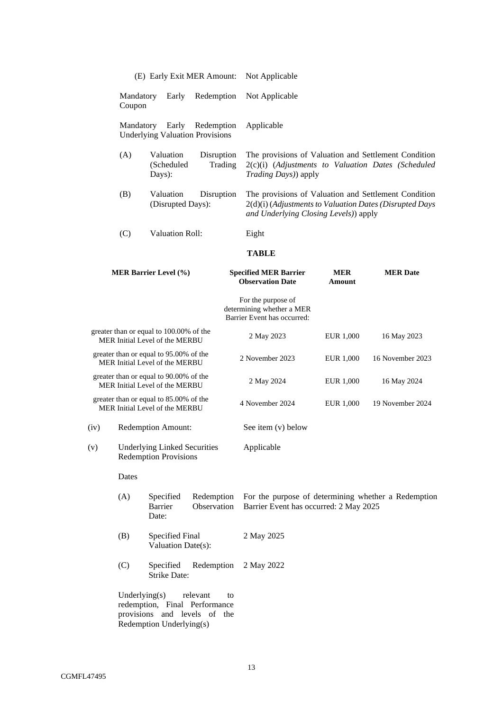| (E) Early Exit MER Amount: | Not Applicable |
|----------------------------|----------------|
|----------------------------|----------------|

Mandatory Early Redemption Coupon Not Applicable

Mandatory Early Redemption Underlying Valuation Provisions Applicable

- (A) Valuation Disruption (Scheduled Trading Days): The provisions of Valuation and Settlement Condition 2(c)(i) (*Adjustments to Valuation Dates (Scheduled Trading Days)*) apply
- (B) Valuation Disruption (Disrupted Days): The provisions of Valuation and Settlement Condition 2(d)(i) (*Adjustments to Valuation Dates (Disrupted Days and Underlying Closing Levels)*) apply
- (C) Valuation Roll: Eight

# **TABLE**

| <b>MER Barrier Level (%)</b> |                                                                           | <b>Specified MER Barrier</b><br><b>Observation Date</b>                        | <b>MER</b><br>Amount | <b>MER</b> Date  |  |
|------------------------------|---------------------------------------------------------------------------|--------------------------------------------------------------------------------|----------------------|------------------|--|
|                              |                                                                           | For the purpose of<br>determining whether a MER<br>Barrier Event has occurred: |                      |                  |  |
|                              | greater than or equal to 100.00% of the<br>MER Initial Level of the MERBU | 2 May 2023                                                                     | EUR 1,000            | 16 May 2023      |  |
|                              | greater than or equal to 95.00% of the<br>MER Initial Level of the MERBU  | 2 November 2023                                                                | EUR 1,000            | 16 November 2023 |  |
|                              | greater than or equal to 90.00% of the<br>MER Initial Level of the MERBU  | 2 May 2024                                                                     | EUR 1,000            | 16 May 2024      |  |
|                              | greater than or equal to 85.00% of the<br>MER Initial Level of the MERBU  | 4 November 2024                                                                | EUR 1,000            | 19 November 2024 |  |
| (iv)                         | Redemption Amount:                                                        | See item $(v)$ below                                                           |                      |                  |  |
| (v)                          | <b>Underlying Linked Securities</b>                                       | Applicable                                                                     |                      |                  |  |

(v) Underlying Linked Securities Redemption Provisions

Dates

- (A) Specified Redemption Barrier Observation Date: For the purpose of determining whether a Redemption Barrier Event has occurred: 2 May 2025
- (B) Specified Final Valuation Date(s): 2 May 2025
- (C) Specified Redemption Strike Date: 2 May 2022

Underlying(s) relevant to redemption, Final Performance provisions and levels of the Redemption Underlying(s)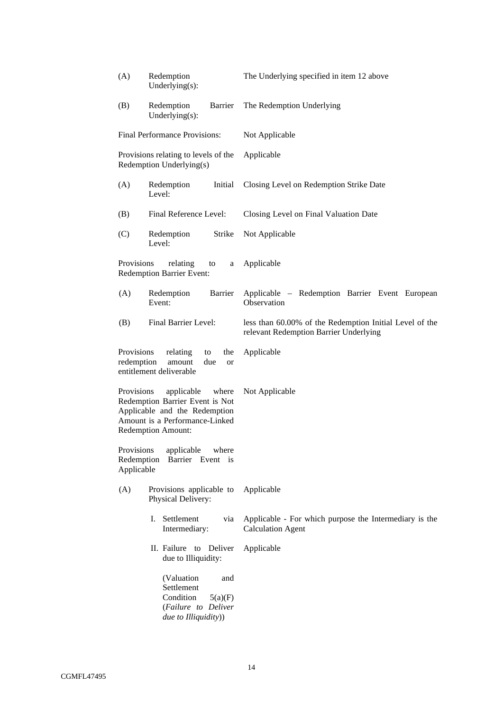| (A)                                    | Redemption<br>Underlying $(s)$ :                                                                                                                       | The Underlying specified in item 12 above                                                         |
|----------------------------------------|--------------------------------------------------------------------------------------------------------------------------------------------------------|---------------------------------------------------------------------------------------------------|
| (B)                                    | Barrier<br>Redemption<br>Underlying $(s)$ :                                                                                                            | The Redemption Underlying                                                                         |
|                                        | Final Performance Provisions:                                                                                                                          | Not Applicable                                                                                    |
|                                        | Provisions relating to levels of the<br>Redemption Underlying(s)                                                                                       | Applicable                                                                                        |
| (A)<br>Redemption<br>Initial<br>Level: |                                                                                                                                                        | Closing Level on Redemption Strike Date                                                           |
| (B)                                    | Final Reference Level:                                                                                                                                 | Closing Level on Final Valuation Date                                                             |
| (C)                                    | Redemption<br>Strike<br>Level:                                                                                                                         | Not Applicable                                                                                    |
| Provisions                             | relating<br>to<br>a<br><b>Redemption Barrier Event:</b>                                                                                                | Applicable                                                                                        |
| (A)                                    | Barrier<br>Redemption<br>Event:                                                                                                                        | Applicable - Redemption Barrier Event European<br>Observation                                     |
| (B)                                    | Final Barrier Level:                                                                                                                                   | less than 60.00% of the Redemption Initial Level of the<br>relevant Redemption Barrier Underlying |
| Provisions<br>redemption               | relating<br>the<br>to<br>amount<br>due<br><b>or</b><br>entitlement deliverable                                                                         | Applicable                                                                                        |
| Provisions                             | applicable<br>where<br>Redemption Barrier Event is Not<br>Applicable and the Redemption<br>Amount is a Performance-Linked<br><b>Redemption Amount:</b> | Not Applicable                                                                                    |
| Applicable                             | Provisions applicable where<br>Redemption Barrier Event is                                                                                             |                                                                                                   |
| (A)                                    | Provisions applicable to<br>Physical Delivery:                                                                                                         | Applicable                                                                                        |
|                                        | Settlement<br>via<br>L.<br>Intermediary:                                                                                                               | Applicable - For which purpose the Intermediary is the<br><b>Calculation Agent</b>                |
|                                        | II. Failure to Deliver<br>due to Illiquidity:                                                                                                          | Applicable                                                                                        |
|                                        | (Valuation<br>and<br>Settlement<br>Condition<br>5(a)(F)<br>(Failure to Deliver<br>due to Illiquidity))                                                 |                                                                                                   |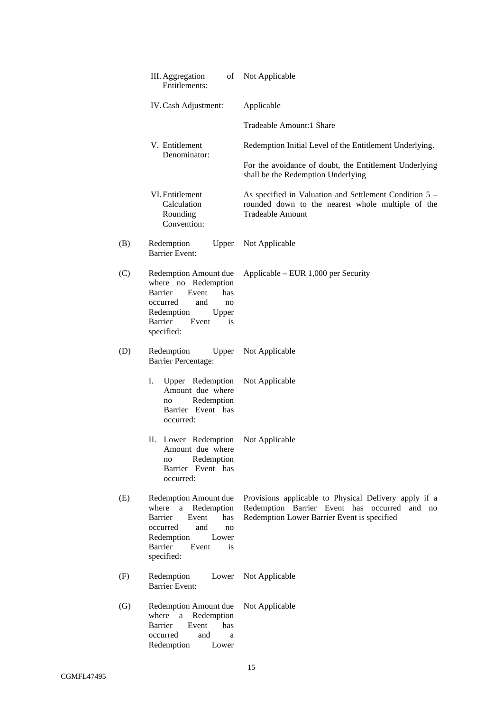|                   | III. Aggregation<br>οf<br>Entitlements:                                                                                                                                            | Not Applicable                                                                                                                                          |
|-------------------|------------------------------------------------------------------------------------------------------------------------------------------------------------------------------------|---------------------------------------------------------------------------------------------------------------------------------------------------------|
|                   | IV. Cash Adjustment:                                                                                                                                                               | Applicable                                                                                                                                              |
|                   |                                                                                                                                                                                    | Tradeable Amount:1 Share                                                                                                                                |
|                   | V. Entitlement<br>Denominator:                                                                                                                                                     | Redemption Initial Level of the Entitlement Underlying.                                                                                                 |
|                   |                                                                                                                                                                                    | For the avoidance of doubt, the Entitlement Underlying<br>shall be the Redemption Underlying                                                            |
|                   | VI. Entitlement<br>Calculation<br>Rounding<br>Convention:                                                                                                                          | As specified in Valuation and Settlement Condition 5 –<br>rounded down to the nearest whole multiple of the<br><b>Tradeable Amount</b>                  |
| (B)               | Redemption<br>Upper<br><b>Barrier Event:</b>                                                                                                                                       | Not Applicable                                                                                                                                          |
| (C)               | Redemption Amount due<br>where no Redemption<br>Barrier<br>Event<br>has<br>occurred<br>and<br>no<br>Redemption<br>Upper<br>Barrier<br>Event<br>is<br>specified:                    | Applicable – EUR $1,000$ per Security                                                                                                                   |
| (D)               | Redemption<br>Upper<br><b>Barrier Percentage:</b>                                                                                                                                  | Not Applicable                                                                                                                                          |
|                   | I.<br>Upper Redemption<br>Amount due where<br>Redemption<br>no<br>Barrier Event has<br>occurred:                                                                                   | Not Applicable                                                                                                                                          |
|                   | II. Lower Redemption<br>Amount due where<br>Redemption<br>no<br>Barrier Event has<br>occurred:                                                                                     | Not Applicable                                                                                                                                          |
| (E)               | Redemption Amount due<br>where<br>a<br>Redemption<br><b>Barrier</b><br>Event<br>has<br>occurred<br>and<br>no<br>Redemption<br>Lower<br><b>Barrier</b><br>Event<br>is<br>specified: | Provisions applicable to Physical Delivery apply if a<br>Redemption Barrier Event has occurred<br>and no<br>Redemption Lower Barrier Event is specified |
| (F)               | Redemption<br>Lower<br><b>Barrier Event:</b>                                                                                                                                       | Not Applicable                                                                                                                                          |
| $\left( G\right)$ | Redemption Amount due<br>where<br>Redemption<br>$\mathbf{a}$<br>Barrier<br>Event<br>has<br>occurred<br>and<br>a<br>Redemption<br>Lower                                             | Not Applicable                                                                                                                                          |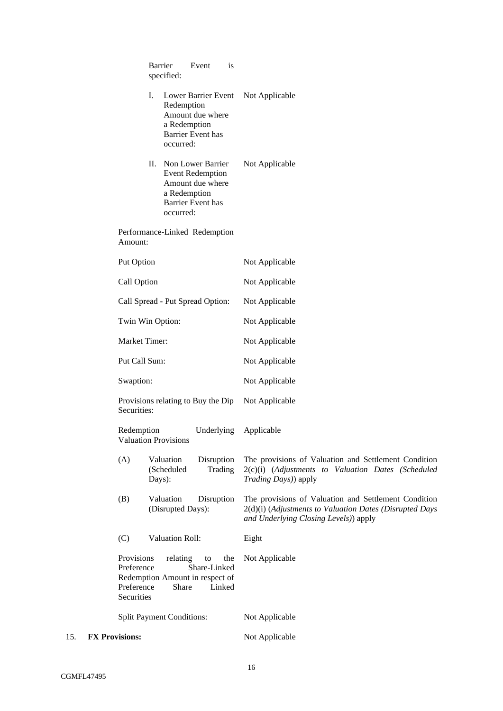|     |                       |                                                      | <b>Barrier</b><br>specified:                         | Event                                                                                   | is            |                                                                                                                                                          |
|-----|-----------------------|------------------------------------------------------|------------------------------------------------------|-----------------------------------------------------------------------------------------|---------------|----------------------------------------------------------------------------------------------------------------------------------------------------------|
|     |                       |                                                      | I.<br>Redemption<br>occurred:                        | Lower Barrier Event<br>Amount due where<br>a Redemption<br><b>Barrier Event has</b>     |               | Not Applicable                                                                                                                                           |
|     |                       |                                                      | II. Non Lower Barrier<br>occurred:                   | <b>Event Redemption</b><br>Amount due where<br>a Redemption<br><b>Barrier Event has</b> |               | Not Applicable                                                                                                                                           |
|     |                       | Amount:                                              | Performance-Linked Redemption                        |                                                                                         |               |                                                                                                                                                          |
|     |                       | Put Option                                           |                                                      |                                                                                         |               | Not Applicable                                                                                                                                           |
|     |                       | Call Option                                          |                                                      |                                                                                         |               | Not Applicable                                                                                                                                           |
|     |                       |                                                      | Call Spread - Put Spread Option:                     |                                                                                         |               | Not Applicable                                                                                                                                           |
|     |                       |                                                      | Twin Win Option:                                     |                                                                                         |               | Not Applicable                                                                                                                                           |
|     |                       | Market Timer:                                        |                                                      |                                                                                         |               | Not Applicable                                                                                                                                           |
|     |                       | Put Call Sum:                                        |                                                      |                                                                                         |               | Not Applicable                                                                                                                                           |
|     |                       | Swaption:                                            |                                                      |                                                                                         |               | Not Applicable                                                                                                                                           |
|     |                       | Securities:                                          | Provisions relating to Buy the Dip                   |                                                                                         |               | Not Applicable                                                                                                                                           |
|     |                       | Redemption                                           | <b>Valuation Provisions</b>                          | Underlying                                                                              |               | Applicable                                                                                                                                               |
|     |                       | (A)                                                  | Valuation<br>(Scheduled<br>Days):                    | Disruption                                                                              | Trading       | The provisions of Valuation and Settlement Condition<br>2(c)(i) (Adjustments to Valuation Dates (Scheduled<br>Trading Days)) apply                       |
|     |                       | (B)                                                  | Valuation<br>(Disrupted Days):                       | Disruption                                                                              |               | The provisions of Valuation and Settlement Condition<br>2(d)(i) (Adjustments to Valuation Dates (Disrupted Days<br>and Underlying Closing Levels)) apply |
|     |                       | (C)                                                  | Valuation Roll:                                      |                                                                                         |               | Eight                                                                                                                                                    |
|     |                       | Provisions<br>Preference<br>Preference<br>Securities | relating<br>Redemption Amount in respect of<br>Share | to<br>Share-Linked                                                                      | the<br>Linked | Not Applicable                                                                                                                                           |
|     |                       |                                                      | <b>Split Payment Conditions:</b>                     |                                                                                         |               | Not Applicable                                                                                                                                           |
| 15. | <b>FX Provisions:</b> |                                                      |                                                      |                                                                                         |               | Not Applicable                                                                                                                                           |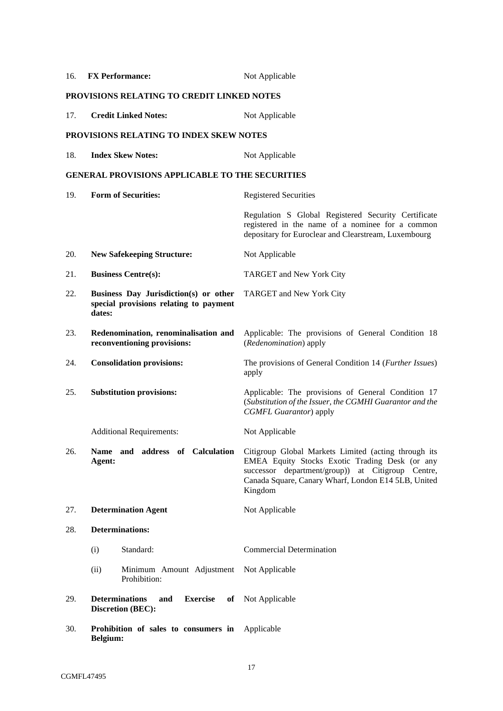| 16. | <b>FX Performance:</b>                                                                    | Not Applicable                                                                                                                                                                                                                                                |
|-----|-------------------------------------------------------------------------------------------|---------------------------------------------------------------------------------------------------------------------------------------------------------------------------------------------------------------------------------------------------------------|
|     | PROVISIONS RELATING TO CREDIT LINKED NOTES                                                |                                                                                                                                                                                                                                                               |
| 17. | <b>Credit Linked Notes:</b>                                                               | Not Applicable                                                                                                                                                                                                                                                |
|     | PROVISIONS RELATING TO INDEX SKEW NOTES                                                   |                                                                                                                                                                                                                                                               |
| 18. | <b>Index Skew Notes:</b>                                                                  | Not Applicable                                                                                                                                                                                                                                                |
|     | <b>GENERAL PROVISIONS APPLICABLE TO THE SECURITIES</b>                                    |                                                                                                                                                                                                                                                               |
| 19. | <b>Form of Securities:</b>                                                                | <b>Registered Securities</b>                                                                                                                                                                                                                                  |
|     |                                                                                           | Regulation S Global Registered Security Certificate<br>registered in the name of a nominee for a common<br>depositary for Euroclear and Clearstream, Luxembourg                                                                                               |
| 20. | <b>New Safekeeping Structure:</b>                                                         | Not Applicable                                                                                                                                                                                                                                                |
| 21. | <b>Business Centre(s):</b>                                                                | TARGET and New York City                                                                                                                                                                                                                                      |
| 22. | Business Day Jurisdiction(s) or other<br>special provisions relating to payment<br>dates: | TARGET and New York City                                                                                                                                                                                                                                      |
| 23. | Redenomination, renominalisation and<br>reconventioning provisions:                       | Applicable: The provisions of General Condition 18<br>(Redenomination) apply                                                                                                                                                                                  |
| 24. | <b>Consolidation provisions:</b>                                                          | The provisions of General Condition 14 ( <i>Further Issues</i> )<br>apply                                                                                                                                                                                     |
| 25. | <b>Substitution provisions:</b>                                                           | Applicable: The provisions of General Condition 17<br>(Substitution of the Issuer, the CGMHI Guarantor and the<br>CGMFL Guarantor) apply                                                                                                                      |
|     | <b>Additional Requirements:</b>                                                           | Not Applicable                                                                                                                                                                                                                                                |
| 26. | Agent:                                                                                    | Name and address of Calculation Citigroup Global Markets Limited (acting through its<br>EMEA Equity Stocks Exotic Trading Desk (or any<br>successor department/group)) at Citigroup Centre,<br>Canada Square, Canary Wharf, London E14 5LB, United<br>Kingdom |
| 27. | <b>Determination Agent</b>                                                                | Not Applicable                                                                                                                                                                                                                                                |
| 28. | <b>Determinations:</b>                                                                    |                                                                                                                                                                                                                                                               |
|     | Standard:<br>(i)                                                                          | <b>Commercial Determination</b>                                                                                                                                                                                                                               |
|     | (ii)<br>Minimum Amount Adjustment<br>Prohibition:                                         | Not Applicable                                                                                                                                                                                                                                                |
| 29. | <b>Determinations</b><br><b>Exercise</b><br>and<br>оf<br><b>Discretion (BEC):</b>         | Not Applicable                                                                                                                                                                                                                                                |
| 30. | Prohibition of sales to consumers in<br>Belgium:                                          | Applicable                                                                                                                                                                                                                                                    |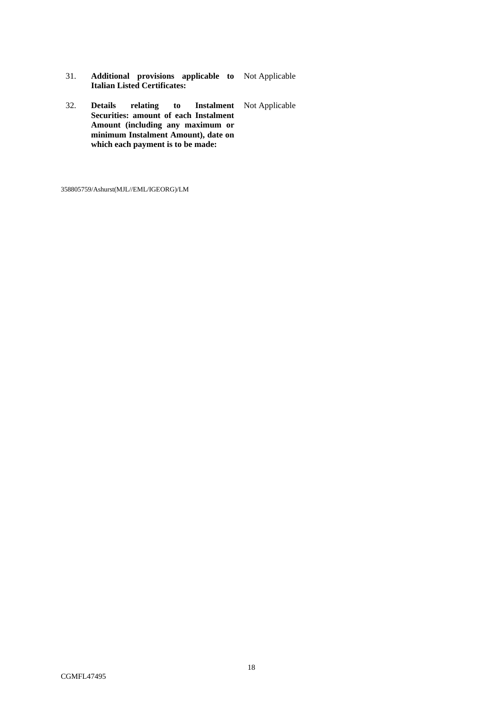- 31. **Additional provisions applicable to Italian Listed Certificates:**  Not Applicable
- 32. **Details relating to Instalment**  Not Applicable **Securities: amount of each Instalment Amount (including any maximum or minimum Instalment Amount), date on which each payment is to be made:**

358805759/Ashurst(MJL//EML/IGEORG)/LM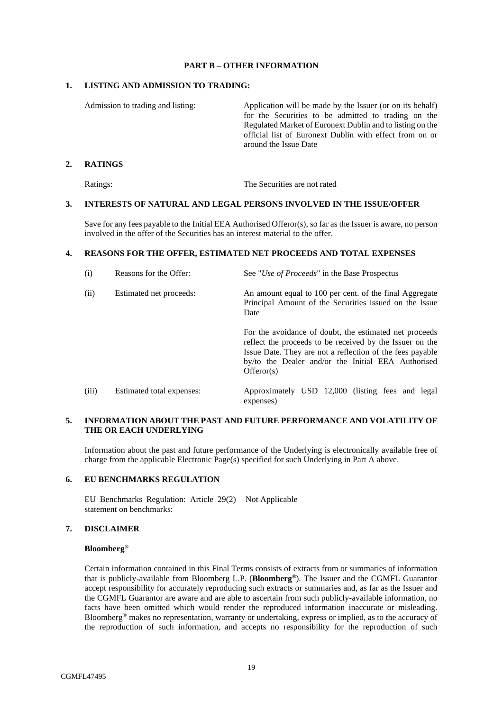### **PART B – OTHER INFORMATION**

### **1. LISTING AND ADMISSION TO TRADING:**

Admission to trading and listing: Application will be made by the Issuer (or on its behalf) for the Securities to be admitted to trading on the Regulated Market of Euronext Dublin and to listing on the official list of Euronext Dublin with effect from on or around the Issue Date

# **2. RATINGS**

Ratings: The Securities are not rated

### **3. INTERESTS OF NATURAL AND LEGAL PERSONS INVOLVED IN THE ISSUE/OFFER**

Save for any fees payable to the Initial EEA Authorised Offeror(s), so far as the Issuer is aware, no person involved in the offer of the Securities has an interest material to the offer.

## **4. REASONS FOR THE OFFER, ESTIMATED NET PROCEEDS AND TOTAL EXPENSES**

| (i)<br>Reasons for the Offer:<br>See "Use of Proceeds" in the Base Prospectus |                           |                                                                                                                                                                                                                                                     |  |  |  |  |  |  |
|-------------------------------------------------------------------------------|---------------------------|-----------------------------------------------------------------------------------------------------------------------------------------------------------------------------------------------------------------------------------------------------|--|--|--|--|--|--|
| (ii)                                                                          | Estimated net proceeds:   | An amount equal to 100 per cent. of the final Aggregate<br>Principal Amount of the Securities issued on the Issue<br>Date                                                                                                                           |  |  |  |  |  |  |
|                                                                               |                           | For the avoidance of doubt, the estimated net proceeds<br>reflect the proceeds to be received by the Issuer on the<br>Issue Date. They are not a reflection of the fees payable<br>by/to the Dealer and/or the Initial EEA Authorised<br>Offeror(s) |  |  |  |  |  |  |
| (iii)                                                                         | Estimated total expenses: | Approximately USD 12,000 (listing fees and legal<br>expenses)                                                                                                                                                                                       |  |  |  |  |  |  |

# **5. INFORMATION ABOUT THE PAST AND FUTURE PERFORMANCE AND VOLATILITY OF THE OR EACH UNDERLYING**

Information about the past and future performance of the Underlying is electronically available free of charge from the applicable Electronic Page(s) specified for such Underlying in Part A above.

### **6. EU BENCHMARKS REGULATION**

EU Benchmarks Regulation: Article 29(2) Not Applicable statement on benchmarks:

# **7. DISCLAIMER**

### **Bloomberg®**

Certain information contained in this Final Terms consists of extracts from or summaries of information that is publicly-available from Bloomberg L.P. (**Bloomberg®**). The Issuer and the CGMFL Guarantor accept responsibility for accurately reproducing such extracts or summaries and, as far as the Issuer and the CGMFL Guarantor are aware and are able to ascertain from such publicly-available information, no facts have been omitted which would render the reproduced information inaccurate or misleading. Bloomberg® makes no representation, warranty or undertaking, express or implied, as to the accuracy of the reproduction of such information, and accepts no responsibility for the reproduction of such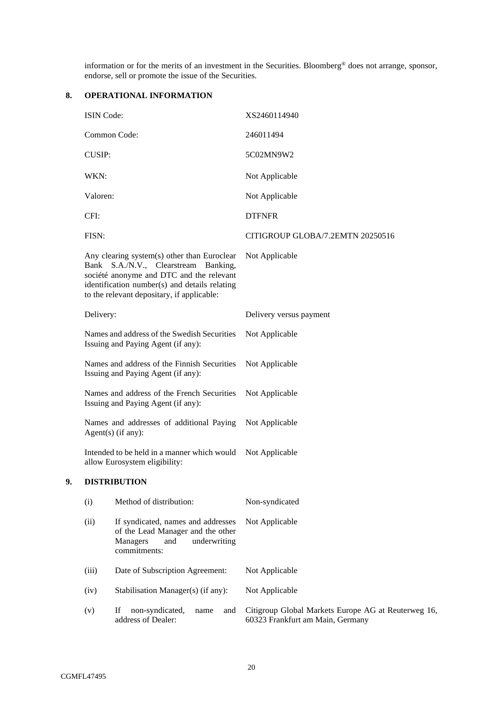information or for the merits of an investment in the Securities. Bloomberg® does not arrange, sponsor, endorse, sell or promote the issue of the Securities.

# **8. OPERATIONAL INFORMATION**

| ISIN Code:                                                                        |                                                                                                                                                                                                                                | XS2460114940                                                                            |  |  |  |  |  |
|-----------------------------------------------------------------------------------|--------------------------------------------------------------------------------------------------------------------------------------------------------------------------------------------------------------------------------|-----------------------------------------------------------------------------------------|--|--|--|--|--|
|                                                                                   | Common Code:                                                                                                                                                                                                                   | 246011494                                                                               |  |  |  |  |  |
| <b>CUSIP:</b>                                                                     |                                                                                                                                                                                                                                | 5C02MN9W2                                                                               |  |  |  |  |  |
| WKN:                                                                              |                                                                                                                                                                                                                                | Not Applicable                                                                          |  |  |  |  |  |
| Valoren:                                                                          |                                                                                                                                                                                                                                | Not Applicable                                                                          |  |  |  |  |  |
| CFI:                                                                              |                                                                                                                                                                                                                                | <b>DTFNFR</b>                                                                           |  |  |  |  |  |
| FISN:                                                                             |                                                                                                                                                                                                                                | CITIGROUP GLOBA/7.2EMTN 20250516                                                        |  |  |  |  |  |
|                                                                                   | Any clearing system(s) other than Euroclear<br>Bank S.A./N.V., Clearstream Banking,<br>société anonyme and DTC and the relevant<br>identification number(s) and details relating<br>to the relevant depositary, if applicable: | Not Applicable                                                                          |  |  |  |  |  |
| Delivery:                                                                         |                                                                                                                                                                                                                                | Delivery versus payment                                                                 |  |  |  |  |  |
|                                                                                   | Names and address of the Swedish Securities<br>Issuing and Paying Agent (if any):                                                                                                                                              | Not Applicable                                                                          |  |  |  |  |  |
| Names and address of the Finnish Securities<br>Issuing and Paying Agent (if any): |                                                                                                                                                                                                                                | Not Applicable                                                                          |  |  |  |  |  |
| Names and address of the French Securities<br>Issuing and Paying Agent (if any):  |                                                                                                                                                                                                                                | Not Applicable                                                                          |  |  |  |  |  |
| Names and addresses of additional Paying<br>$Agent(s)$ (if any):                  |                                                                                                                                                                                                                                | Not Applicable                                                                          |  |  |  |  |  |
| Intended to be held in a manner which would<br>allow Eurosystem eligibility:      |                                                                                                                                                                                                                                | Not Applicable                                                                          |  |  |  |  |  |
|                                                                                   | <b>DISTRIBUTION</b>                                                                                                                                                                                                            |                                                                                         |  |  |  |  |  |
| (i)                                                                               | Method of distribution:                                                                                                                                                                                                        | Non-syndicated                                                                          |  |  |  |  |  |
| (ii)                                                                              | If syndicated, names and addresses<br>of the Lead Manager and the other<br>Managers<br>underwriting<br>and<br>commitments:                                                                                                     | Not Applicable                                                                          |  |  |  |  |  |
| (iii)                                                                             | Date of Subscription Agreement:                                                                                                                                                                                                | Not Applicable                                                                          |  |  |  |  |  |
| (iv)                                                                              | Stabilisation Manager(s) (if any):                                                                                                                                                                                             | Not Applicable                                                                          |  |  |  |  |  |
| (v)                                                                               | If<br>non-syndicated,<br>and<br>name<br>address of Dealer:                                                                                                                                                                     | Citigroup Global Markets Europe AG at Reuterweg 16,<br>60323 Frankfurt am Main, Germany |  |  |  |  |  |

**9. DISTRIBUTION**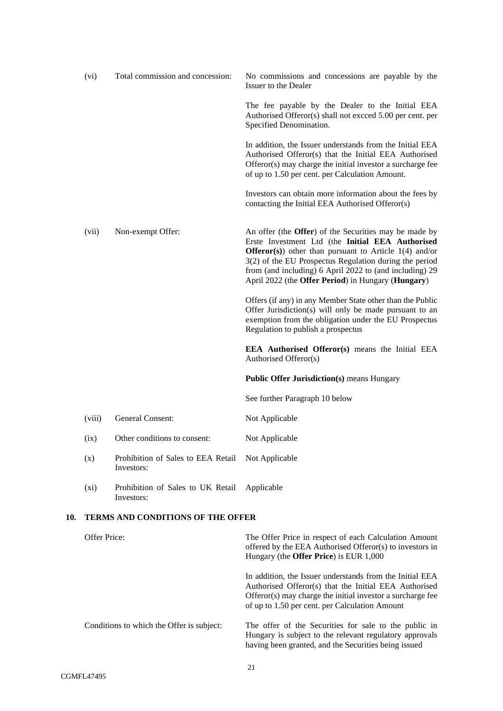|     | (vi)         | Total commission and concession:                 | No commissions and concessions are payable by the<br>Issuer to the Dealer                                                                                                                                                                                                                                                                                          |
|-----|--------------|--------------------------------------------------|--------------------------------------------------------------------------------------------------------------------------------------------------------------------------------------------------------------------------------------------------------------------------------------------------------------------------------------------------------------------|
|     |              |                                                  | The fee payable by the Dealer to the Initial EEA<br>Authorised Offeror(s) shall not excced 5.00 per cent. per<br>Specified Denomination.                                                                                                                                                                                                                           |
|     |              |                                                  | In addition, the Issuer understands from the Initial EEA<br>Authorised Offeror(s) that the Initial EEA Authorised<br>Offeror(s) may charge the initial investor a surcharge fee<br>of up to 1.50 per cent. per Calculation Amount.                                                                                                                                 |
|     |              |                                                  | Investors can obtain more information about the fees by<br>contacting the Initial EEA Authorised Offeror(s)                                                                                                                                                                                                                                                        |
|     | (vii)        | Non-exempt Offer:                                | An offer (the <b>Offer</b> ) of the Securities may be made by<br>Erste Investment Ltd (the Initial EEA Authorised<br><b>Offeror</b> (s)) other than pursuant to Article $1(4)$ and/or<br>$3(2)$ of the EU Prospectus Regulation during the period<br>from (and including) 6 April 2022 to (and including) 29<br>April 2022 (the Offer Period) in Hungary (Hungary) |
|     |              |                                                  | Offers (if any) in any Member State other than the Public<br>Offer Jurisdiction(s) will only be made pursuant to an<br>exemption from the obligation under the EU Prospectus<br>Regulation to publish a prospectus                                                                                                                                                 |
|     |              |                                                  | <b>EEA</b> Authorised Offeror(s) means the Initial EEA<br>Authorised Offeror(s)                                                                                                                                                                                                                                                                                    |
|     |              |                                                  | <b>Public Offer Jurisdiction(s) means Hungary</b>                                                                                                                                                                                                                                                                                                                  |
|     |              |                                                  | See further Paragraph 10 below                                                                                                                                                                                                                                                                                                                                     |
|     | (viii)       | General Consent:                                 | Not Applicable                                                                                                                                                                                                                                                                                                                                                     |
|     | (ix)         | Other conditions to consent:                     | Not Applicable                                                                                                                                                                                                                                                                                                                                                     |
|     | (x)          | Prohibition of Sales to EEA Retail<br>Investors: | Not Applicable                                                                                                                                                                                                                                                                                                                                                     |
|     | $(x_i)$      | Prohibition of Sales to UK Retail<br>Investors:  | Applicable                                                                                                                                                                                                                                                                                                                                                         |
| 10. |              | <b>TERMS AND CONDITIONS OF THE OFFER</b>         |                                                                                                                                                                                                                                                                                                                                                                    |
|     | Offer Price: |                                                  | The Offer Price in respect of each Calculation Amount<br>offered by the EEA Authorised Offeror(s) to investors in<br>Hungary (the Offer Price) is EUR 1,000                                                                                                                                                                                                        |
|     |              |                                                  | In addition, the Issuer understands from the Initial EEA<br>Authorised Offeror(s) that the Initial EEA Authorised<br>Offeror(s) may charge the initial investor a surcharge fee<br>of up to 1.50 per cent. per Calculation Amount                                                                                                                                  |
|     |              | Conditions to which the Offer is subject:        | The offer of the Securities for sale to the public in<br>Hungary is subject to the relevant regulatory approvals                                                                                                                                                                                                                                                   |

having been granted, and the Securities being issued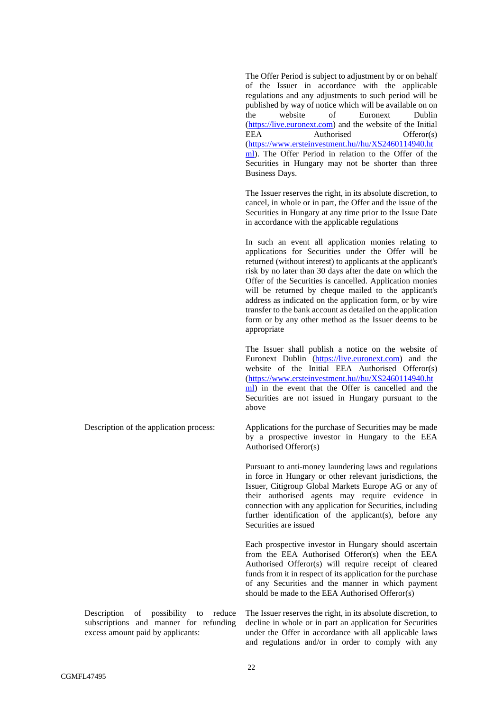The Offer Period is subject to adjustment by or on behalf of the Issuer in accordance with the applicable regulations and any adjustments to such period will be published by way of notice which will be available on on the website of Euronext Dublin [\(https://live.euronext.com\)](https://live.euronext.com/) and the website of the Initial EEA Authorised Offeror(s) [\(https://www.ersteinvestment.hu//hu/XS2460114940.ht](https://www.ersteinvestment.hu/hu/XS2460114940.html) [ml\)](https://www.ersteinvestment.hu/hu/XS2460114940.html). The Offer Period in relation to the Offer of the Securities in Hungary may not be shorter than three Business Days.

The Issuer reserves the right, in its absolute discretion, to cancel, in whole or in part, the Offer and the issue of the Securities in Hungary at any time prior to the Issue Date in accordance with the applicable regulations

In such an event all application monies relating to applications for Securities under the Offer will be returned (without interest) to applicants at the applicant's risk by no later than 30 days after the date on which the Offer of the Securities is cancelled. Application monies will be returned by cheque mailed to the applicant's address as indicated on the application form, or by wire transfer to the bank account as detailed on the application form or by any other method as the Issuer deems to be appropriate

The Issuer shall publish a notice on the website of Euronext Dublin [\(https://live.euronext.com\)](https://live.euronext.com/) and the website of the Initial EEA Authorised Offeror(s) [\(https://www.ersteinvestment.hu//hu/XS2460114940.ht](https://www.ersteinvestment.hu/hu/XS2460114940.html) [ml\)](https://www.ersteinvestment.hu/hu/XS2460114940.html) in the event that the Offer is cancelled and the Securities are not issued in Hungary pursuant to the above

Description of the application process: Applications for the purchase of Securities may be made by a prospective investor in Hungary to the EEA Authorised Offeror(s)

> Pursuant to anti-money laundering laws and regulations in force in Hungary or other relevant jurisdictions, the Issuer, Citigroup Global Markets Europe AG or any of their authorised agents may require evidence in connection with any application for Securities, including further identification of the applicant(s), before any Securities are issued

> Each prospective investor in Hungary should ascertain from the EEA Authorised Offeror(s) when the EEA Authorised Offeror(s) will require receipt of cleared funds from it in respect of its application for the purchase of any Securities and the manner in which payment should be made to the EEA Authorised Offeror(s)

Description of possibility to reduce subscriptions and manner for refunding excess amount paid by applicants:

The Issuer reserves the right, in its absolute discretion, to decline in whole or in part an application for Securities under the Offer in accordance with all applicable laws and regulations and/or in order to comply with any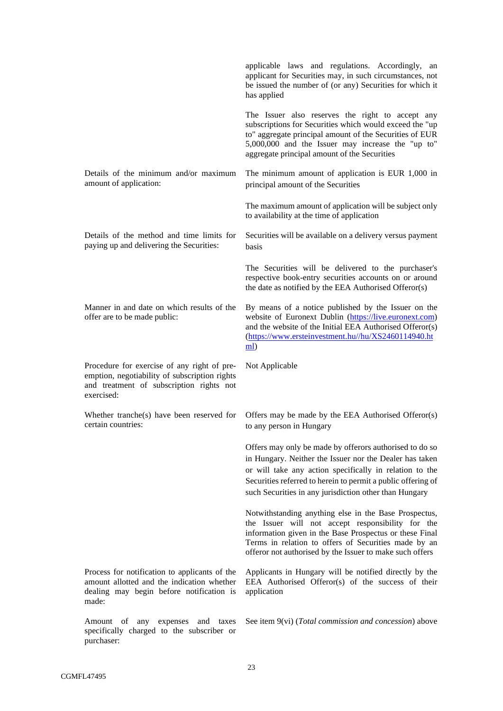|                                                                                                                                                        | applicable laws and regulations. Accordingly, an<br>applicant for Securities may, in such circumstances, not<br>be issued the number of (or any) Securities for which it<br>has applied                                                                                                                 |
|--------------------------------------------------------------------------------------------------------------------------------------------------------|---------------------------------------------------------------------------------------------------------------------------------------------------------------------------------------------------------------------------------------------------------------------------------------------------------|
|                                                                                                                                                        | The Issuer also reserves the right to accept any<br>subscriptions for Securities which would exceed the "up<br>to" aggregate principal amount of the Securities of EUR<br>5,000,000 and the Issuer may increase the "up to"<br>aggregate principal amount of the Securities                             |
| Details of the minimum and/or maximum<br>amount of application:                                                                                        | The minimum amount of application is EUR 1,000 in<br>principal amount of the Securities                                                                                                                                                                                                                 |
|                                                                                                                                                        | The maximum amount of application will be subject only<br>to availability at the time of application                                                                                                                                                                                                    |
| Details of the method and time limits for<br>paying up and delivering the Securities:                                                                  | Securities will be available on a delivery versus payment<br><b>basis</b>                                                                                                                                                                                                                               |
|                                                                                                                                                        | The Securities will be delivered to the purchaser's<br>respective book-entry securities accounts on or around<br>the date as notified by the EEA Authorised Offeror(s)                                                                                                                                  |
| Manner in and date on which results of the<br>offer are to be made public:                                                                             | By means of a notice published by the Issuer on the<br>website of Euronext Dublin (https://live.euronext.com)<br>and the website of the Initial EEA Authorised Offeror(s)<br>(https://www.ersteinvestment.hu//hu/XS2460114940.ht<br>$\underline{\mathbf{m}}$                                            |
|                                                                                                                                                        |                                                                                                                                                                                                                                                                                                         |
| Procedure for exercise of any right of pre-<br>emption, negotiability of subscription rights<br>and treatment of subscription rights not<br>exercised: | Not Applicable                                                                                                                                                                                                                                                                                          |
| Whether tranche(s) have been reserved for<br>certain countries:                                                                                        | Offers may be made by the EEA Authorised Offeror(s)<br>to any person in Hungary                                                                                                                                                                                                                         |
|                                                                                                                                                        | Offers may only be made by offerors authorised to do so<br>in Hungary. Neither the Issuer nor the Dealer has taken<br>or will take any action specifically in relation to the<br>Securities referred to herein to permit a public offering of<br>such Securities in any jurisdiction other than Hungary |
|                                                                                                                                                        | Notwithstanding anything else in the Base Prospectus,<br>the Issuer will not accept responsibility for the<br>information given in the Base Prospectus or these Final<br>Terms in relation to offers of Securities made by an<br>offeror not authorised by the Issuer to make such offers               |
| Process for notification to applicants of the<br>amount allotted and the indication whether<br>dealing may begin before notification is<br>made:       | Applicants in Hungary will be notified directly by the<br>EEA Authorised Offeror(s) of the success of their<br>application                                                                                                                                                                              |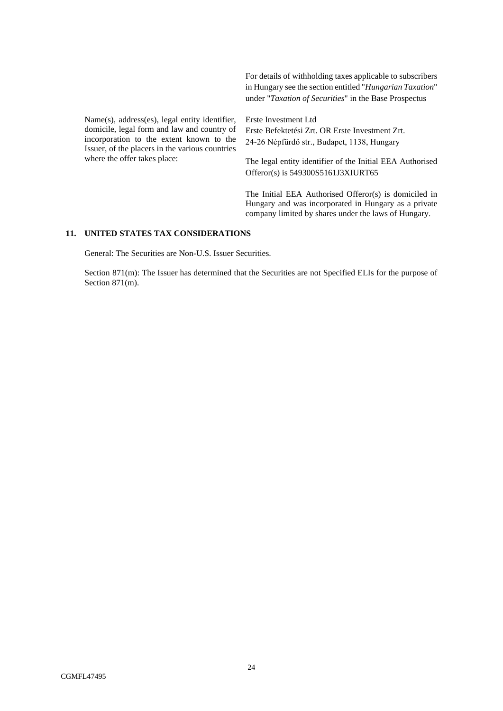For details of withholding taxes applicable to subscribers in Hungary see the section entitled "*Hungarian Taxation*" under "*Taxation of Securities*" in the Base Prospectus

Name(s), address(es), legal entity identifier, domicile, legal form and law and country of incorporation to the extent known to the Issuer, of the placers in the various countries where the offer takes place:

Erste Investment Ltd Erste Befektetési Zrt. OR Erste Investment Zrt. 24-26 Népfürdő str., Budapet, 1138, Hungary

The legal entity identifier of the Initial EEA Authorised Offeror(s) is 549300S5161J3XIURT65

The Initial EEA Authorised Offeror(s) is domiciled in Hungary and was incorporated in Hungary as a private company limited by shares under the laws of Hungary.

# **11. UNITED STATES TAX CONSIDERATIONS**

General: The Securities are Non-U.S. Issuer Securities.

Section 871(m): The Issuer has determined that the Securities are not Specified ELIs for the purpose of Section 871(m).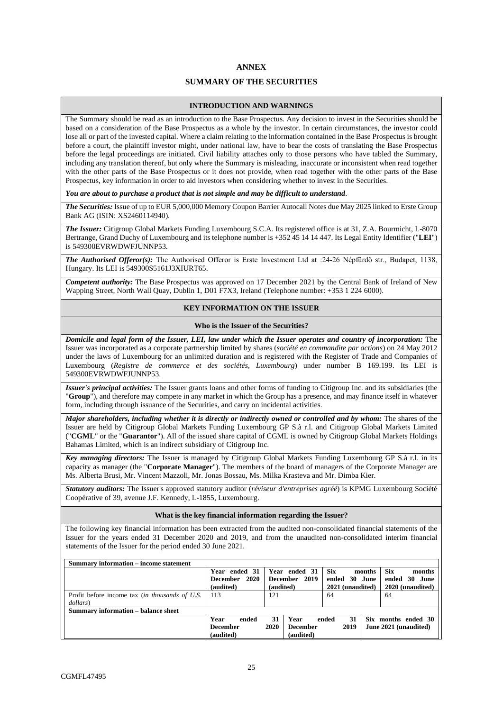## **ANNEX**

# **SUMMARY OF THE SECURITIES**

# **INTRODUCTION AND WARNINGS**

The Summary should be read as an introduction to the Base Prospectus. Any decision to invest in the Securities should be based on a consideration of the Base Prospectus as a whole by the investor. In certain circumstances, the investor could lose all or part of the invested capital. Where a claim relating to the information contained in the Base Prospectus is brought before a court, the plaintiff investor might, under national law, have to bear the costs of translating the Base Prospectus before the legal proceedings are initiated. Civil liability attaches only to those persons who have tabled the Summary, including any translation thereof, but only where the Summary is misleading, inaccurate or inconsistent when read together with the other parts of the Base Prospectus or it does not provide, when read together with the other parts of the Base Prospectus, key information in order to aid investors when considering whether to invest in the Securities.

*You are about to purchase a product that is not simple and may be difficult to understand*.

*The Securities:* Issue of up to EUR 5,000,000 Memory Coupon Barrier Autocall Notes due May 2025 linked to Erste Group Bank AG (ISIN: XS2460114940).

*The Issuer:* Citigroup Global Markets Funding Luxembourg S.C.A. Its registered office is at 31, Z.A. Bourmicht, L-8070 Bertrange, Grand Duchy of Luxembourg and its telephone number is +352 45 14 14 447. Its Legal Entity Identifier ("**LEI**") is 549300EVRWDWFJUNNP53.

*The Authorised Offeror(s):* The Authorised Offeror is Erste Investment Ltd at :24-26 Népfürdő str., Budapet, 1138, Hungary. Its LEI is 549300S5161J3XIURT65.

*Competent authority:* The Base Prospectus was approved on 17 December 2021 by the Central Bank of Ireland of New Wapping Street, North Wall Quay, Dublin 1, D01 F7X3, Ireland (Telephone number: +353 1 224 6000).

### **KEY INFORMATION ON THE ISSUER**

#### **Who is the Issuer of the Securities?**

*Domicile and legal form of the Issuer, LEI, law under which the Issuer operates and country of incorporation:* The Issuer was incorporated as a corporate partnership limited by shares (*société en commandite par actions*) on 24 May 2012 under the laws of Luxembourg for an unlimited duration and is registered with the Register of Trade and Companies of Luxembourg (*Registre de commerce et des sociétés, Luxembourg*) under number B 169.199. Its LEI is 549300EVRWDWFJUNNP53.

*Issuer's principal activities:* The Issuer grants loans and other forms of funding to Citigroup Inc. and its subsidiaries (the "**Group**"), and therefore may compete in any market in which the Group has a presence, and may finance itself in whatever form, including through issuance of the Securities, and carry on incidental activities.

*Major shareholders, including whether it is directly or indirectly owned or controlled and by whom:* The shares of the Issuer are held by Citigroup Global Markets Funding Luxembourg GP S.à r.l. and Citigroup Global Markets Limited ("**CGML**" or the "**Guarantor**"). All of the issued share capital of CGML is owned by Citigroup Global Markets Holdings Bahamas Limited, which is an indirect subsidiary of Citigroup Inc.

*Key managing directors:* The Issuer is managed by Citigroup Global Markets Funding Luxembourg GP S.à r.l. in its capacity as manager (the "**Corporate Manager**"). The members of the board of managers of the Corporate Manager are Ms. Alberta Brusi, Mr. Vincent Mazzoli, Mr. Jonas Bossau, Ms. Milka Krasteva and Mr. Dimba Kier.

*Statutory auditors:* The Issuer's approved statutory auditor (*réviseur d'entreprises agréé*) is KPMG Luxembourg Société Coopérative of 39, avenue J.F. Kennedy, L-1855, Luxembourg.

### **What is the key financial information regarding the Issuer?**

The following key financial information has been extracted from the audited non-consolidated financial statements of the Issuer for the years ended 31 December 2020 and 2019, and from the unaudited non-consolidated interim financial statements of the Issuer for the period ended 30 June 2021.

| Summary information – income statement         |                 |  |      |                 |            |                  |         |                       |                     |  |
|------------------------------------------------|-----------------|--|------|-----------------|------------|------------------|---------|-----------------------|---------------------|--|
|                                                | Year ended 31   |  |      | Year ended 31   | <b>Six</b> |                  | months  | <b>Six</b>            | months              |  |
|                                                | December 2020   |  |      | December 2019   | ended      |                  | 30 June | ended 30              | June                |  |
|                                                | (audited)       |  |      | (audited)       |            | 2021 (unaudited) |         |                       | 2020 (unaudited)    |  |
| Profit before income tax (in thousands of U.S. | 113             |  | 121  |                 | 64         |                  |         |                       |                     |  |
| dollars)                                       |                 |  |      |                 |            |                  |         |                       |                     |  |
| <b>Summary information – balance sheet</b>     |                 |  |      |                 |            |                  |         |                       |                     |  |
| 31<br>Year<br>Year<br>ended<br>ended           |                 |  |      |                 |            | 31               |         |                       | Six months ended 30 |  |
|                                                | <b>December</b> |  | 2020 | <b>December</b> |            | 2019             |         | June 2021 (unaudited) |                     |  |
|                                                | (audited)       |  |      | (audited)       |            |                  |         |                       |                     |  |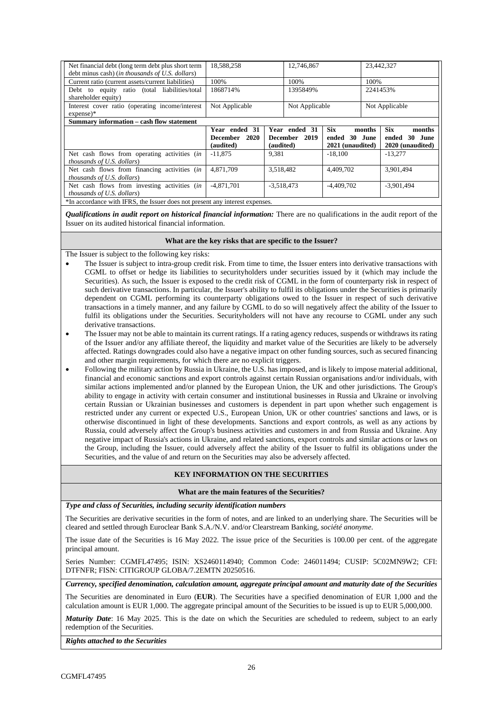| Net financial debt (long term debt plus short term<br>debt minus cash) ( <i>in thousands of U.S. dollars</i> )                                             | 18,588,258                        |              | 12,746,867                               |                     | 23,442,327        |                                          |
|------------------------------------------------------------------------------------------------------------------------------------------------------------|-----------------------------------|--------------|------------------------------------------|---------------------|-------------------|------------------------------------------|
| Current ratio (current assets/current liabilities)                                                                                                         | 100%                              |              | 100%                                     |                     | 100%              |                                          |
| Debt to equity ratio (total liabilities/total<br>shareholder equity)                                                                                       | 1868714%                          |              | 1395849%                                 |                     | 2241453%          |                                          |
| Interest cover ratio (operating income/interest<br>$expense$ <sup>*</sup>                                                                                  | Not Applicable                    |              | Not Applicable                           |                     |                   | Not Applicable                           |
| Summary information – cash flow statement                                                                                                                  |                                   |              |                                          |                     |                   |                                          |
|                                                                                                                                                            | Year ended 31<br>2020<br>December |              | Year ended 31<br>2019<br><b>December</b> | <b>Six</b><br>ended | months<br>30 June | <b>Six</b><br>months<br>ended<br>30 June |
|                                                                                                                                                            | (audited)                         | (audited)    |                                          | 2021 (unaudited)    |                   | 2020 (unaudited)                         |
| Net cash flows from operating activities (in<br><i>thousands of U.S. dollars</i> )                                                                         | $-11.875$                         | 9,381        |                                          | $-18,100$           |                   | $-13.277$                                |
| Net cash flows from financing activities (in<br><i>thousands of U.S. dollars</i> )                                                                         | 4.871.709                         | 3.518.482    |                                          | 4.409.702           |                   | 3.901.494                                |
| Net cash flows from investing activities (in<br>thousands of U.S. dollars)<br>*In accordance with IFRS, the Issuer does not present any interest expenses. | $-4,871,701$                      | $-3,518,473$ |                                          | $-4,409,702$        |                   | $-3,901,494$                             |

*Qualifications in audit report on historical financial information:* There are no qualifications in the audit report of the Issuer on its audited historical financial information.

# **What are the key risks that are specific to the Issuer?**

The Issuer is subject to the following key risks:

- The Issuer is subject to intra-group credit risk. From time to time, the Issuer enters into derivative transactions with CGML to offset or hedge its liabilities to securityholders under securities issued by it (which may include the Securities). As such, the Issuer is exposed to the credit risk of CGML in the form of counterparty risk in respect of such derivative transactions. In particular, the Issuer's ability to fulfil its obligations under the Securities is primarily dependent on CGML performing its counterparty obligations owed to the Issuer in respect of such derivative transactions in a timely manner, and any failure by CGML to do so will negatively affect the ability of the Issuer to fulfil its obligations under the Securities. Securityholders will not have any recourse to CGML under any such derivative transactions.
- The Issuer may not be able to maintain its current ratings. If a rating agency reduces, suspends or withdraws its rating of the Issuer and/or any affiliate thereof, the liquidity and market value of the Securities are likely to be adversely affected. Ratings downgrades could also have a negative impact on other funding sources, such as secured financing and other margin requirements, for which there are no explicit triggers.
- Following the military action by Russia in Ukraine, the U.S. has imposed, and is likely to impose material additional, financial and economic sanctions and export controls against certain Russian organisations and/or individuals, with similar actions implemented and/or planned by the European Union, the UK and other jurisdictions. The Group's ability to engage in activity with certain consumer and institutional businesses in Russia and Ukraine or involving certain Russian or Ukrainian businesses and customers is dependent in part upon whether such engagement is restricted under any current or expected U.S., European Union, UK or other countries' sanctions and laws, or is otherwise discontinued in light of these developments. Sanctions and export controls, as well as any actions by Russia, could adversely affect the Group's business activities and customers in and from Russia and Ukraine. Any negative impact of Russia's actions in Ukraine, and related sanctions, export controls and similar actions or laws on the Group, including the Issuer, could adversely affect the ability of the Issuer to fulfil its obligations under the Securities, and the value of and return on the Securities may also be adversely affected.

# **KEY INFORMATION ON THE SECURITIES**

**What are the main features of the Securities?** 

*Type and class of Securities, including security identification numbers* 

The Securities are derivative securities in the form of notes, and are linked to an underlying share. The Securities will be cleared and settled through Euroclear Bank S.A./N.V. and/or Clearstream Banking, *société anonyme*.

The issue date of the Securities is 16 May 2022. The issue price of the Securities is 100.00 per cent. of the aggregate principal amount.

Series Number: CGMFL47495; ISIN: XS2460114940; Common Code: 246011494; CUSIP: 5C02MN9W2; CFI: DTFNFR; FISN: CITIGROUP GLOBA/7.2EMTN 20250516.

*Currency, specified denomination, calculation amount, aggregate principal amount and maturity date of the Securities* 

The Securities are denominated in Euro (**EUR**). The Securities have a specified denomination of EUR 1,000 and the calculation amount is EUR 1,000. The aggregate principal amount of the Securities to be issued is up to EUR 5,000,000.

*Maturity Date*: 16 May 2025. This is the date on which the Securities are scheduled to redeem, subject to an early redemption of the Securities.

*Rights attached to the Securities*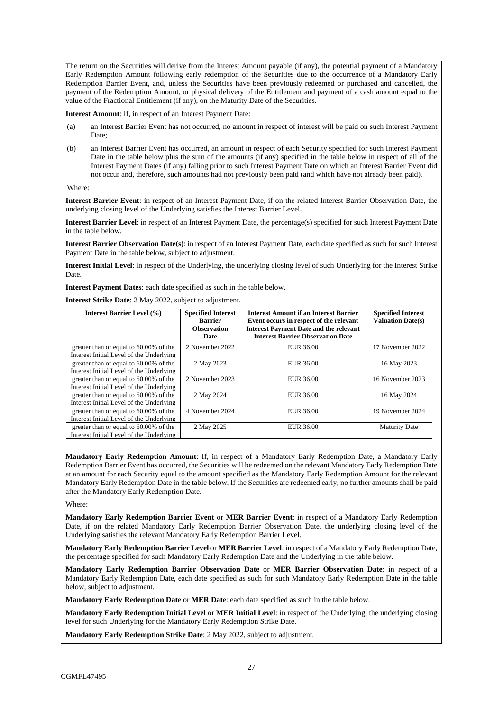The return on the Securities will derive from the Interest Amount payable (if any), the potential payment of a Mandatory Early Redemption Amount following early redemption of the Securities due to the occurrence of a Mandatory Early Redemption Barrier Event, and, unless the Securities have been previously redeemed or purchased and cancelled, the payment of the Redemption Amount, or physical delivery of the Entitlement and payment of a cash amount equal to the value of the Fractional Entitlement (if any), on the Maturity Date of the Securities.

**Interest Amount**: If, in respect of an Interest Payment Date:

- (a) an Interest Barrier Event has not occurred, no amount in respect of interest will be paid on such Interest Payment Date;
- (b) an Interest Barrier Event has occurred, an amount in respect of each Security specified for such Interest Payment Date in the table below plus the sum of the amounts (if any) specified in the table below in respect of all of the Interest Payment Dates (if any) falling prior to such Interest Payment Date on which an Interest Barrier Event did not occur and, therefore, such amounts had not previously been paid (and which have not already been paid).

Where:

**Interest Barrier Event**: in respect of an Interest Payment Date, if on the related Interest Barrier Observation Date, the underlying closing level of the Underlying satisfies the Interest Barrier Level.

**Interest Barrier Level**: in respect of an Interest Payment Date, the percentage(s) specified for such Interest Payment Date in the table below.

**Interest Barrier Observation Date(s)**: in respect of an Interest Payment Date, each date specified as such for such Interest Payment Date in the table below, subject to adjustment.

**Interest Initial Level**: in respect of the Underlying, the underlying closing level of such Underlying for the Interest Strike Date.

**Interest Payment Dates**: each date specified as such in the table below.

**Interest Strike Date**: 2 May 2022, subject to adjustment.

| <b>Interest Barrier Level (%)</b>                                                  | <b>Specified Interest</b><br><b>Barrier</b><br><b>Observation</b><br>Date | <b>Interest Amount if an Interest Barrier</b><br>Event occurs in respect of the relevant<br><b>Interest Payment Date and the relevant</b><br><b>Interest Barrier Observation Date</b> | <b>Specified Interest</b><br><b>Valuation Date(s)</b> |
|------------------------------------------------------------------------------------|---------------------------------------------------------------------------|---------------------------------------------------------------------------------------------------------------------------------------------------------------------------------------|-------------------------------------------------------|
| greater than or equal to 60.00% of the<br>Interest Initial Level of the Underlying | 2 November 2022                                                           | EUR 36.00                                                                                                                                                                             | 17 November 2022                                      |
| greater than or equal to 60.00% of the<br>Interest Initial Level of the Underlying | 2 May 2023                                                                | EUR 36.00                                                                                                                                                                             | 16 May 2023                                           |
| greater than or equal to 60.00% of the<br>Interest Initial Level of the Underlying | 2 November 2023                                                           | EUR 36.00                                                                                                                                                                             | 16 November 2023                                      |
| greater than or equal to 60.00% of the<br>Interest Initial Level of the Underlying | 2 May 2024                                                                | EUR 36.00                                                                                                                                                                             | 16 May 2024                                           |
| greater than or equal to 60.00% of the<br>Interest Initial Level of the Underlying | 4 November 2024                                                           | EUR 36.00                                                                                                                                                                             | 19 November 2024                                      |
| greater than or equal to 60.00% of the<br>Interest Initial Level of the Underlying | 2 May 2025                                                                | EUR 36.00                                                                                                                                                                             | <b>Maturity Date</b>                                  |

**Mandatory Early Redemption Amount**: If, in respect of a Mandatory Early Redemption Date, a Mandatory Early Redemption Barrier Event has occurred, the Securities will be redeemed on the relevant Mandatory Early Redemption Date at an amount for each Security equal to the amount specified as the Mandatory Early Redemption Amount for the relevant Mandatory Early Redemption Date in the table below. If the Securities are redeemed early, no further amounts shall be paid after the Mandatory Early Redemption Date.

Where:

**Mandatory Early Redemption Barrier Event** or **MER Barrier Event**: in respect of a Mandatory Early Redemption Date, if on the related Mandatory Early Redemption Barrier Observation Date, the underlying closing level of the Underlying satisfies the relevant Mandatory Early Redemption Barrier Level.

**Mandatory Early Redemption Barrier Level** or **MER Barrier Level**: in respect of a Mandatory Early Redemption Date, the percentage specified for such Mandatory Early Redemption Date and the Underlying in the table below.

**Mandatory Early Redemption Barrier Observation Date** or **MER Barrier Observation Date**: in respect of a Mandatory Early Redemption Date, each date specified as such for such Mandatory Early Redemption Date in the table below, subject to adjustment.

**Mandatory Early Redemption Date** or **MER Date**: each date specified as such in the table below.

**Mandatory Early Redemption Initial Level** or **MER Initial Level**: in respect of the Underlying, the underlying closing level for such Underlying for the Mandatory Early Redemption Strike Date.

**Mandatory Early Redemption Strike Date**: 2 May 2022, subject to adjustment.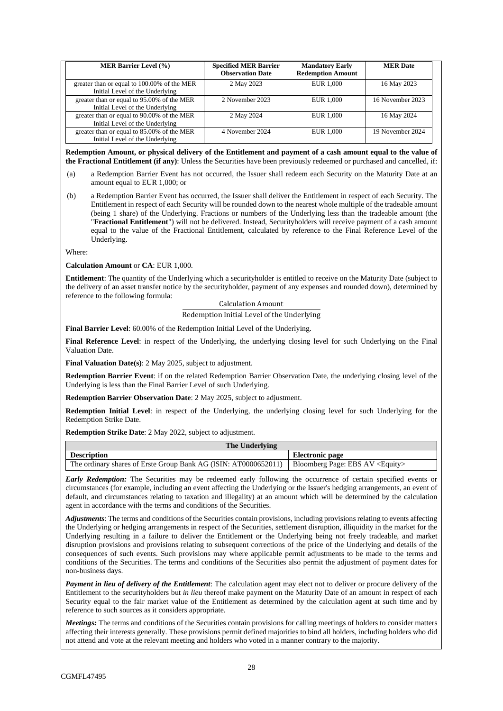| <b>MER Barrier Level (%)</b>                                                   | <b>Specified MER Barrier</b><br><b>Observation Date</b> | <b>Mandatory Early</b><br><b>Redemption Amount</b> | <b>MER</b> Date  |
|--------------------------------------------------------------------------------|---------------------------------------------------------|----------------------------------------------------|------------------|
| greater than or equal to 100.00% of the MER<br>Initial Level of the Underlying | 2 May 2023                                              | <b>EUR 1.000</b>                                   | 16 May 2023      |
| greater than or equal to 95.00% of the MER<br>Initial Level of the Underlying  | 2 November 2023                                         | EUR 1.000                                          | 16 November 2023 |
| greater than or equal to 90.00% of the MER<br>Initial Level of the Underlying  | 2 May 2024                                              | <b>EUR 1.000</b>                                   | 16 May 2024      |
| greater than or equal to 85.00% of the MER<br>Initial Level of the Underlying  | 4 November 2024                                         | EUR 1,000                                          | 19 November 2024 |

**Redemption Amount, or physical delivery of the Entitlement and payment of a cash amount equal to the value of the Fractional Entitlement (if any)**: Unless the Securities have been previously redeemed or purchased and cancelled, if:

- (a) a Redemption Barrier Event has not occurred, the Issuer shall redeem each Security on the Maturity Date at an amount equal to EUR 1,000; or
- (b) a Redemption Barrier Event has occurred, the Issuer shall deliver the Entitlement in respect of each Security. The Entitlement in respect of each Security will be rounded down to the nearest whole multiple of the tradeable amount (being 1 share) of the Underlying. Fractions or numbers of the Underlying less than the tradeable amount (the "**Fractional Entitlement**") will not be delivered. Instead, Securityholders will receive payment of a cash amount equal to the value of the Fractional Entitlement, calculated by reference to the Final Reference Level of the Underlying.

Where:

#### **Calculation Amount** or **CA**: EUR 1,000.

**Entitlement**: The quantity of the Underlying which a securityholder is entitled to receive on the Maturity Date (subject to the delivery of an asset transfer notice by the securityholder, payment of any expenses and rounded down), determined by reference to the following formula:

# Calculation Amount

### Redemption Initial Level of the Underlying

**Final Barrier Level**: 60.00% of the Redemption Initial Level of the Underlying.

**Final Reference Level**: in respect of the Underlying, the underlying closing level for such Underlying on the Final Valuation Date.

**Final Valuation Date(s)**: 2 May 2025, subject to adjustment.

**Redemption Barrier Event**: if on the related Redemption Barrier Observation Date, the underlying closing level of the Underlying is less than the Final Barrier Level of such Underlying.

**Redemption Barrier Observation Date**: 2 May 2025, subject to adjustment.

**Redemption Initial Level**: in respect of the Underlying, the underlying closing level for such Underlying for the Redemption Strike Date.

**Redemption Strike Date**: 2 May 2022, subject to adjustment.

| The Underlying                                                  |                                          |
|-----------------------------------------------------------------|------------------------------------------|
| <b>Description</b>                                              | Electronic page                          |
| The ordinary shares of Erste Group Bank AG (ISIN: AT0000652011) | Bloomberg Page: EBS AV <equity></equity> |

*Early Redemption:* The Securities may be redeemed early following the occurrence of certain specified events or circumstances (for example, including an event affecting the Underlying or the Issuer's hedging arrangements, an event of default, and circumstances relating to taxation and illegality) at an amount which will be determined by the calculation agent in accordance with the terms and conditions of the Securities.

*Adjustments*: The terms and conditions of the Securities contain provisions, including provisions relating to events affecting the Underlying or hedging arrangements in respect of the Securities, settlement disruption, illiquidity in the market for the Underlying resulting in a failure to deliver the Entitlement or the Underlying being not freely tradeable, and market disruption provisions and provisions relating to subsequent corrections of the price of the Underlying and details of the consequences of such events. Such provisions may where applicable permit adjustments to be made to the terms and conditions of the Securities. The terms and conditions of the Securities also permit the adjustment of payment dates for non-business days.

*Payment in lieu of delivery of the Entitlement*: The calculation agent may elect not to deliver or procure delivery of the Entitlement to the securityholders but *in lieu* thereof make payment on the Maturity Date of an amount in respect of each Security equal to the fair market value of the Entitlement as determined by the calculation agent at such time and by reference to such sources as it considers appropriate.

*Meetings:* The terms and conditions of the Securities contain provisions for calling meetings of holders to consider matters affecting their interests generally. These provisions permit defined majorities to bind all holders, including holders who did not attend and vote at the relevant meeting and holders who voted in a manner contrary to the majority.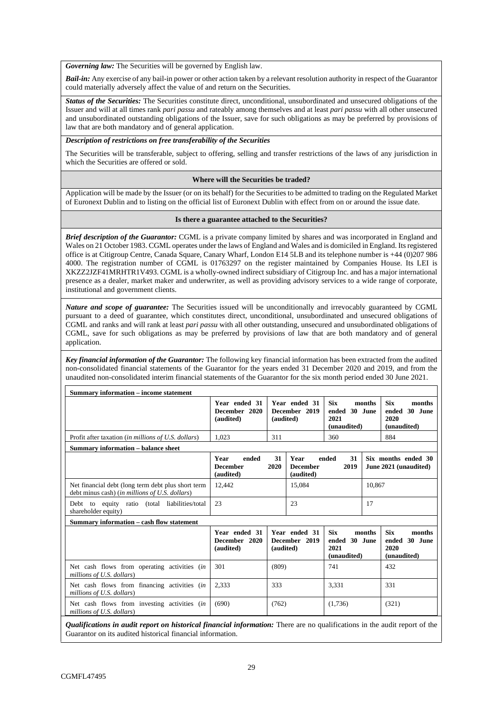*Governing law:* The Securities will be governed by English law.

*Bail-in:* Any exercise of any bail-in power or other action taken by a relevant resolution authority in respect of the Guarantor could materially adversely affect the value of and return on the Securities.

**Status of the Securities:** The Securities constitute direct, unconditional, unsubordinated and unsecured obligations of the Issuer and will at all times rank *pari passu* and rateably among themselves and at least *pari passu* with all other unsecured and unsubordinated outstanding obligations of the Issuer, save for such obligations as may be preferred by provisions of law that are both mandatory and of general application.

## *Description of restrictions on free transferability of the Securities*

The Securities will be transferable, subject to offering, selling and transfer restrictions of the laws of any jurisdiction in which the Securities are offered or sold.

### **Where will the Securities be traded?**

Application will be made by the Issuer (or on its behalf) for the Securities to be admitted to trading on the Regulated Market of Euronext Dublin and to listing on the official list of Euronext Dublin with effect from on or around the issue date.

### **Is there a guarantee attached to the Securities?**

*Brief description of the Guarantor:* CGML is a private company limited by shares and was incorporated in England and Wales on 21 October 1983. CGML operates under the laws of England and Wales and is domiciled in England. Its registered office is at Citigroup Centre, Canada Square, Canary Wharf, London E14 5LB and its telephone number is +44 (0)207 986 4000. The registration number of CGML is 01763297 on the register maintained by Companies House. Its LEI is XKZZ2JZF41MRHTR1V493. CGML is a wholly-owned indirect subsidiary of Citigroup Inc. and has a major international presence as a dealer, market maker and underwriter, as well as providing advisory services to a wide range of corporate, institutional and government clients.

*Nature and scope of guarantee:* The Securities issued will be unconditionally and irrevocably guaranteed by CGML pursuant to a deed of guarantee, which constitutes direct, unconditional, unsubordinated and unsecured obligations of CGML and ranks and will rank at least *pari passu* with all other outstanding, unsecured and unsubordinated obligations of CGML, save for such obligations as may be preferred by provisions of law that are both mandatory and of general application.

*Key financial information of the Guarantor:* The following key financial information has been extracted from the audited non-consolidated financial statements of the Guarantor for the years ended 31 December 2020 and 2019, and from the unaudited non-consolidated interim financial statements of the Guarantor for the six month period ended 30 June 2021.

| <b>Summary information – income statement</b>                                                        |                                               |            |                                      |                                                    |        |                                                              |
|------------------------------------------------------------------------------------------------------|-----------------------------------------------|------------|--------------------------------------|----------------------------------------------------|--------|--------------------------------------------------------------|
|                                                                                                      | Year ended 31<br>December 2020<br>(audited)   | (audited)  | Year ended 31<br>December 2019       | <b>Six</b><br>ended 30 June<br>2021<br>(unaudited) | months | <b>Six</b><br>months<br>ended 30 June<br>2020<br>(unaudited) |
| Profit after taxation (in millions of U.S. dollars)                                                  | 1.023                                         | 311        |                                      | 360                                                |        | 884                                                          |
| <b>Summary information - balance sheet</b>                                                           |                                               |            |                                      |                                                    |        |                                                              |
|                                                                                                      | Year<br>ended<br><b>December</b><br>(audited) | 31<br>2020 | Year<br><b>December</b><br>(audited) | 31<br>ended<br>2019                                |        | Six months ended 30<br>June 2021 (unaudited)                 |
| Net financial debt (long term debt plus short term<br>debt minus cash) (in millions of U.S. dollars) | 12,442                                        |            | 15,084                               |                                                    | 10.867 |                                                              |
| Debt to equity ratio (total liabilities/total<br>shareholder equity)                                 | 23                                            |            | 23                                   |                                                    | 17     |                                                              |
| Summary information - cash flow statement                                                            |                                               |            |                                      |                                                    |        |                                                              |
|                                                                                                      | Year ended 31<br>December 2020<br>(audited)   | (audited)  | Year ended 31<br>December 2019       | <b>Six</b><br>ended 30 June<br>2021<br>(unaudited) | months | <b>Six</b><br>months<br>ended 30 June<br>2020<br>(unaudited) |
| Net cash flows from operating activities (in<br>millions of U.S. dollars)                            | 301                                           | (809)      |                                      | 741                                                |        | 432                                                          |
| Net cash flows from financing activities (in<br>millions of U.S. dollars)                            | 2.333                                         | 333        |                                      | 3.331                                              |        | 331                                                          |
| Net cash flows from investing activities (in<br>millions of U.S. dollars)                            | (690)                                         | (762)      |                                      | (1,736)                                            |        | (321)                                                        |

*Qualifications in audit report on historical financial information:* There are no qualifications in the audit report of the Guarantor on its audited historical financial information.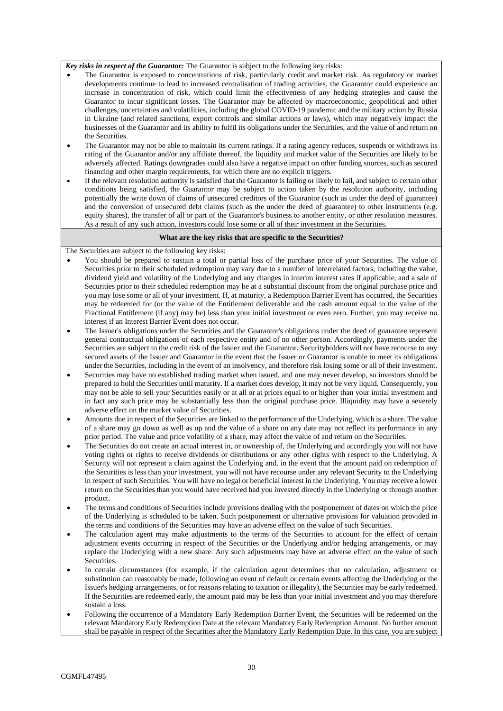#### *Key risks in respect of the Guarantor:* The Guarantor is subject to the following key risks:

- The Guarantor is exposed to concentrations of risk, particularly credit and market risk. As regulatory or market developments continue to lead to increased centralisation of trading activities, the Guarantor could experience an increase in concentration of risk, which could limit the effectiveness of any hedging strategies and cause the Guarantor to incur significant losses. The Guarantor may be affected by macroeconomic, geopolitical and other challenges, uncertainties and volatilities, including the global COVID-19 pandemic and the military action by Russia in Ukraine (and related sanctions, export controls and similar actions or laws), which may negatively impact the businesses of the Guarantor and its ability to fulfil its obligations under the Securities, and the value of and return on the Securities.
- The Guarantor may not be able to maintain its current ratings. If a rating agency reduces, suspends or withdraws its rating of the Guarantor and/or any affiliate thereof, the liquidity and market value of the Securities are likely to be adversely affected. Ratings downgrades could also have a negative impact on other funding sources, such as secured financing and other margin requirements, for which there are no explicit triggers.
- If the relevant resolution authority is satisfied that the Guarantor is failing or likely to fail, and subject to certain other conditions being satisfied, the Guarantor may be subject to action taken by the resolution authority, including potentially the write down of claims of unsecured creditors of the Guarantor (such as under the deed of guarantee) and the conversion of unsecured debt claims (such as the under the deed of guarantee) to other instruments (e.g. equity shares), the transfer of all or part of the Guarantor's business to another entity, or other resolution measures. As a result of any such action, investors could lose some or all of their investment in the Securities.

## **What are the key risks that are specific to the Securities?**

The Securities are subject to the following key risks:

- You should be prepared to sustain a total or partial loss of the purchase price of your Securities. The value of Securities prior to their scheduled redemption may vary due to a number of interrelated factors, including the value, dividend yield and volatility of the Underlying and any changes in interim interest rates if applicable, and a sale of Securities prior to their scheduled redemption may be at a substantial discount from the original purchase price and you may lose some or all of your investment. If, at maturity, a Redemption Barrier Event has occurred, the Securities may be redeemed for (or the value of the Entitlement deliverable and the cash amount equal to the value of the Fractional Entitlement (if any) may be) less than your initial investment or even zero. Further, you may receive no interest if an Interest Barrier Event does not occur.
- The Issuer's obligations under the Securities and the Guarantor's obligations under the deed of guarantee represent general contractual obligations of each respective entity and of no other person. Accordingly, payments under the Securities are subject to the credit risk of the Issuer and the Guarantor. Securityholders will not have recourse to any secured assets of the Issuer and Guarantor in the event that the Issuer or Guarantor is unable to meet its obligations under the Securities, including in the event of an insolvency, and therefore risk losing some or all of their investment.
- Securities may have no established trading market when issued, and one may never develop, so investors should be prepared to hold the Securities until maturity. If a market does develop, it may not be very liquid. Consequently, you may not be able to sell your Securities easily or at all or at prices equal to or higher than your initial investment and in fact any such price may be substantially less than the original purchase price. Illiquidity may have a severely adverse effect on the market value of Securities.
- Amounts due in respect of the Securities are linked to the performance of the Underlying, which is a share. The value of a share may go down as well as up and the value of a share on any date may not reflect its performance in any prior period. The value and price volatility of a share, may affect the value of and return on the Securities.
- The Securities do not create an actual interest in, or ownership of, the Underlying and accordingly you will not have voting rights or rights to receive dividends or distributions or any other rights with respect to the Underlying. A Security will not represent a claim against the Underlying and, in the event that the amount paid on redemption of the Securities is less than your investment, you will not have recourse under any relevant Security to the Underlying in respect of such Securities. You will have no legal or beneficial interest in the Underlying. You may receive a lower return on the Securities than you would have received had you invested directly in the Underlying or through another product.
- The terms and conditions of Securities include provisions dealing with the postponement of dates on which the price of the Underlying is scheduled to be taken. Such postponement or alternative provisions for valuation provided in the terms and conditions of the Securities may have an adverse effect on the value of such Securities.
- The calculation agent may make adjustments to the terms of the Securities to account for the effect of certain adjustment events occurring in respect of the Securities or the Underlying and/or hedging arrangements, or may replace the Underlying with a new share. Any such adjustments may have an adverse effect on the value of such Securities.
- In certain circumstances (for example, if the calculation agent determines that no calculation, adjustment or substitution can reasonably be made, following an event of default or certain events affecting the Underlying or the Issuer's hedging arrangements, or for reasons relating to taxation or illegality), the Securities may be early redeemed. If the Securities are redeemed early, the amount paid may be less than your initial investment and you may therefore sustain a loss.
- Following the occurrence of a Mandatory Early Redemption Barrier Event, the Securities will be redeemed on the relevant Mandatory Early Redemption Date at the relevant Mandatory Early Redemption Amount. No further amount shall be payable in respect of the Securities after the Mandatory Early Redemption Date. In this case, you are subject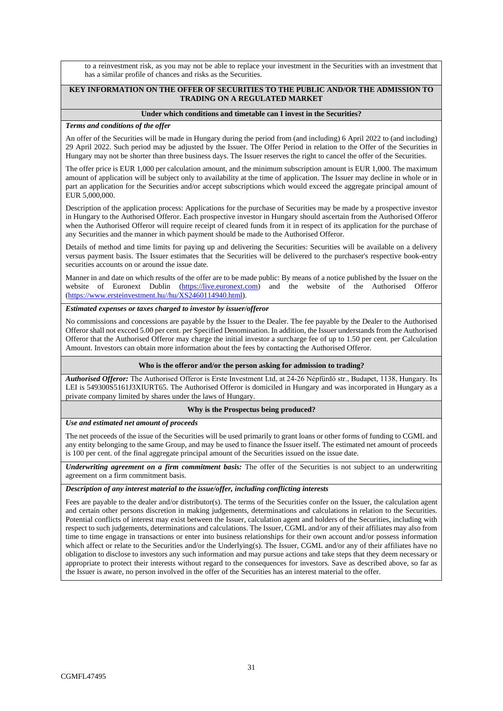to a reinvestment risk, as you may not be able to replace your investment in the Securities with an investment that has a similar profile of chances and risks as the Securities.

## **KEY INFORMATION ON THE OFFER OF SECURITIES TO THE PUBLIC AND/OR THE ADMISSION TO TRADING ON A REGULATED MARKET**

#### **Under which conditions and timetable can I invest in the Securities?**

#### *Terms and conditions of the offer*

An offer of the Securities will be made in Hungary during the period from (and including) 6 April 2022 to (and including) 29 April 2022. Such period may be adjusted by the Issuer. The Offer Period in relation to the Offer of the Securities in Hungary may not be shorter than three business days. The Issuer reserves the right to cancel the offer of the Securities.

The offer price is EUR 1,000 per calculation amount, and the minimum subscription amount is EUR 1,000. The maximum amount of application will be subject only to availability at the time of application. The Issuer may decline in whole or in part an application for the Securities and/or accept subscriptions which would exceed the aggregate principal amount of EUR 5,000,000.

Description of the application process: Applications for the purchase of Securities may be made by a prospective investor in Hungary to the Authorised Offeror. Each prospective investor in Hungary should ascertain from the Authorised Offeror when the Authorised Offeror will require receipt of cleared funds from it in respect of its application for the purchase of any Securities and the manner in which payment should be made to the Authorised Offeror.

Details of method and time limits for paying up and delivering the Securities: Securities will be available on a delivery versus payment basis. The Issuer estimates that the Securities will be delivered to the purchaser's respective book-entry securities accounts on or around the issue date.

Manner in and date on which results of the offer are to be made public: By means of a notice published by the Issuer on the website of Euronext Dublin [\(https://live.euronext.com\)](https://live.euronext.com/) and the website of the Authorised Offeror [\(https://www.ersteinvestment.hu//hu/XS2460114940.html\)](https://www.ersteinvestment.hu/hu/XS2460114940.html).

### *Estimated expenses or taxes charged to investor by issuer/offeror*

No commissions and concessions are payable by the Issuer to the Dealer. The fee payable by the Dealer to the Authorised Offeror shall not excced 5.00 per cent. per Specified Denomination. In addition, the Issuer understands from the Authorised Offeror that the Authorised Offeror may charge the initial investor a surcharge fee of up to 1.50 per cent. per Calculation Amount. Investors can obtain more information about the fees by contacting the Authorised Offeror.

#### **Who is the offeror and/or the person asking for admission to trading?**

*Authorised Offeror:* The Authorised Offeror is Erste Investment Ltd, at 24-26 Népfürdő str., Budapet, 1138, Hungary. Its LEI is 549300S5161J3XIURT65. The Authorised Offeror is domiciled in Hungary and was incorporated in Hungary as a private company limited by shares under the laws of Hungary.

#### **Why is the Prospectus being produced?**

#### *Use and estimated net amount of proceeds*

The net proceeds of the issue of the Securities will be used primarily to grant loans or other forms of funding to CGML and any entity belonging to the same Group, and may be used to finance the Issuer itself. The estimated net amount of proceeds is 100 per cent. of the final aggregate principal amount of the Securities issued on the issue date.

*Underwriting agreement on a firm commitment basis:* The offer of the Securities is not subject to an underwriting agreement on a firm commitment basis.

# *Description of any interest material to the issue/offer, including conflicting interests*

Fees are payable to the dealer and/or distributor(s). The terms of the Securities confer on the Issuer, the calculation agent and certain other persons discretion in making judgements, determinations and calculations in relation to the Securities. Potential conflicts of interest may exist between the Issuer, calculation agent and holders of the Securities, including with respect to such judgements, determinations and calculations. The Issuer, CGML and/or any of their affiliates may also from time to time engage in transactions or enter into business relationships for their own account and/or possess information which affect or relate to the Securities and/or the Underlying(s). The Issuer, CGML and/or any of their affiliates have no obligation to disclose to investors any such information and may pursue actions and take steps that they deem necessary or appropriate to protect their interests without regard to the consequences for investors. Save as described above, so far as the Issuer is aware, no person involved in the offer of the Securities has an interest material to the offer.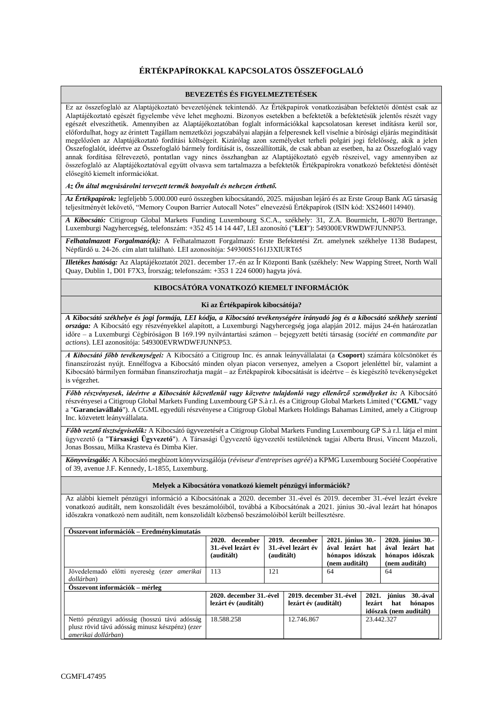# **ÉRTÉKPAPÍROKKAL KAPCSOLATOS ÖSSZEFOGLALÓ**

### **BEVEZETÉS ÉS FIGYELMEZTETÉSEK**

Ez az összefoglaló az Alaptájékoztató bevezetőjének tekintendő. Az Értékpapírok vonatkozásában befektetői döntést csak az Alaptájékoztató egészét figyelembe véve lehet meghozni. Bizonyos esetekben a befektetők a befektetésük jelentős részét vagy egészét elveszíthetik. Amennyiben az Alaptájékoztatóban foglalt információkkal kapcsolatosan kereset indításra kerül sor, előfordulhat, hogy az érintett Tagállam nemzetközi jogszabályai alapján a felperesnek kell viselnie a bírósági eljárás megindítását megelőzően az Alaptájékoztató fordítási költségeit. Kizárólag azon személyeket terheli polgári jogi felelősség, akik a jelen Összefoglalót, ideértve az Összefoglaló bármely fordítását is, összeállították, de csak abban az esetben, ha az Összefoglaló vagy annak fordítása félrevezető, pontatlan vagy nincs összhangban az Alaptájékoztató egyéb részeivel, vagy amennyiben az összefoglaló az Alaptájékoztatóval együtt olvasva sem tartalmazza a befektetők Értékpapírokra vonatkozó befektetési döntését elősegítő kiemelt információkat.

*Az Ön által megvásárolni tervezett termék bonyolult és nehezen érthető.*

*Az Értékpapírok:* legfeljebb 5.000.000 euró összegben kibocsátandó, 2025. májusban lejáró és az Erste Group Bank AG társaság teljesítményét lekövető, "Memory Coupon Barrier Autocall Notes" elnevezésű Értékpapírok (ISIN kód: XS2460114940).

*A Kibocsátó:* Citigroup Global Markets Funding Luxembourg S.C.A., székhely: 31, Z.A. Bourmicht, L-8070 Bertrange, Luxemburgi Nagyhercegség, telefonszám: +352 45 14 14 447, LEI azonosító ("**LEI**"): 549300EVRWDWFJUNNP53.

*Felhatalmazott Forgalmazó(k):* A Felhatalmazott Forgalmazó: Erste Befektetési Zrt. amelynek székhelye 1138 Budapest, Népfürdő u. 24-26. cím alatt található. LEI azonosítója: 549300S5161J3XIURT65

*Illetékes hatóság:* Az Alaptájékoztatót 2021. december 17.-én az Ír Központi Bank (székhely: New Wapping Street, North Wall Quay, Dublin 1, D01 F7X3, Írország; telefonszám: +353 1 224 6000) hagyta jóvá.

### **KIBOCSÁTÓRA VONATKOZÓ KIEMELT INFORMÁCIÓK**

#### **Ki az Értékpapírok kibocsátója?**

*A Kibocsátó székhelye és jogi formája, LEI kódja, a Kibocsátó tevékenységére irányadó jog és a kibocsátó székhely szerinti országa:* A Kibocsátó egy részvényekkel alapított, a Luxemburgi Nagyhercegség joga alapján 2012. május 24-én határozatlan időre – a Luxemburgi Cégbíróságon B 169.199 nyilvántartási számon – bejegyzett betéti társaság (*société en commandite par actions*). LEI azonosítója: 549300EVRWDWFJUNNP53.

*A Kibocsátó főbb tevékenységei:* A Kibocsátó a Citigroup Inc. és annak leányvállalatai (a **Csoport**) számára kölcsönöket és finanszírozást nyújt. Ennélfogva a Kibocsátó minden olyan piacon versenyez, amelyen a Csoport jelenléttel bír, valamint a Kibocsátó bármilyen formában finanszírozhatja magát – az Értékpapírok kibocsátását is ideértve – és kiegészítő tevékenységeket is végezhet.

*Főbb részvényesek, ideértve a Kibocsátót közvetlenül vagy közvetve tulajdonló vagy ellenőrző személyeket is:* A Kibocsátó részvényesei a Citigroup Global Markets Funding Luxembourg GP S.à r.l. és a Citigroup Global Markets Limited ("**CGML**" vagy a "**Garanciavállaló**"). A CGML egyedüli részvényese a Citigroup Global Markets Holdings Bahamas Limited, amely a Citigroup Inc. közvetett leányvállalata.

*Főbb vezető tisztségviselők:* A Kibocsátó ügyvezetését a Citigroup Global Markets Funding Luxembourg GP S.à r.l. látja el mint ügyvezető (a "**Társasági Ügyvezető**"). A Társasági Ügyvezető ügyvezetői testületének tagjai Alberta Brusi, Vincent Mazzoli, Jonas Bossau, Milka Krasteva és Dimba Kier.

*Könyvvizsgáló:* A Kibocsátó megbízott könyvvizsgálója (*réviseur d'entreprises agréé*) a KPMG Luxembourg Société Coopérative of 39, avenue J.F. Kennedy, L-1855, Luxemburg.

#### **Melyek a Kibocsátóra vonatkozó kiemelt pénzügyi információk?**

Az alábbi kiemelt pénzügyi információ a Kibocsátónak a 2020. december 31.-ével és 2019. december 31.-ével lezárt évekre vonatkozó auditált, nem konszolidált éves beszámolóiból, továbbá a Kibocsátónak a 2021. június 30.-ával lezárt hat hónapos időszakra vonatkozó nem auditált, nem konszolidált közbenső beszámolóiból került beillesztésre.

| Osszevont információk – Eredménykimutatás       |                         |            |                         |                                   |            |                                   |
|-------------------------------------------------|-------------------------|------------|-------------------------|-----------------------------------|------------|-----------------------------------|
|                                                 | 2020. december          |            | 2019. december          | 2021. június 30.-                 |            | 2020. június 30.-                 |
|                                                 | 31.-ével lezárt év      |            | 31.-ével lezárt év      | ával lezárt hat                   |            | ával lezárt hat                   |
|                                                 | (auditált)              | (auditált) |                         | hónapos időszak<br>(nem auditált) |            | hónapos időszak<br>(nem auditált) |
| Jövedelemadó előtti nyereség (ezer amerikai     | 113                     | 121        |                         | 64                                |            | 64                                |
| dollárban)                                      |                         |            |                         |                                   |            |                                   |
| Összevont információk – mérleg                  |                         |            |                         |                                   |            |                                   |
|                                                 | 2020. december 31.-ével |            | 2019. december 31.-ével |                                   |            | $2021.$ június<br><b>30.-ával</b> |
|                                                 | lezárt év (auditált)    |            | lezárt év (auditált)    |                                   | lezárt     | hónapos<br>hat                    |
|                                                 |                         |            |                         |                                   |            | időszak (nem auditált)            |
| Nettó pénzügyi adósság (hosszú távú adósság     | 18.588.258              |            | 12.746.867              |                                   | 23.442.327 |                                   |
| plusz rövid távú adósság minusz készpénz) (ezer |                         |            |                         |                                   |            |                                   |
| amerikai dollárban)                             |                         |            |                         |                                   |            |                                   |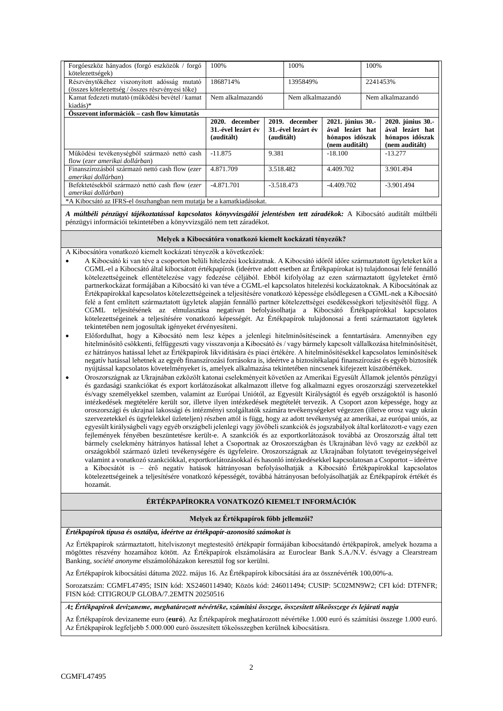| Forgóeszköz hányados (forgó eszközök / forgó<br>kötelezettségek) | 100%               |                    | 100%             |                   | 100%     |                   |
|------------------------------------------------------------------|--------------------|--------------------|------------------|-------------------|----------|-------------------|
| Részvénytőkéhez viszonyított adósság mutató                      | 1868714%           |                    | 1395849%         |                   | 2241453% |                   |
| (összes kötelezettség / összes részvényesi tőke)                 |                    |                    |                  |                   |          |                   |
| Kamat fedezeti mutató (működési bevétel / kamat                  | Nem alkalmazandó   |                    | Nem alkalmazandó |                   |          | Nem alkalmazandó  |
| kiadás)*                                                         |                    |                    |                  |                   |          |                   |
| Osszevont információk – cash flow kimutatás                      |                    |                    |                  |                   |          |                   |
|                                                                  | 2020. december     | 2019. december     |                  | 2021. június 30.- |          | 2020. június 30.- |
|                                                                  | 31.-ével lezárt év | 31.-ével lezárt év |                  | ával lezárt hat   |          | ával lezárt hat   |
|                                                                  | (auditált)         | (auditált)         |                  | hónapos időszak   |          | hónapos időszak   |
|                                                                  |                    |                    |                  | (nem auditált)    |          | (nem auditált)    |
| Működési tevékenységből származó nettó cash                      | $-11.875$          | 9.381              |                  | $-18.100$         |          | $-13.277$         |
|                                                                  |                    |                    |                  |                   |          |                   |
| flow (ezer amerikai dollárban)                                   |                    |                    |                  |                   |          |                   |
| Finanszírozásból származó nettó cash flow (ezer                  | 4.871.709          | 3.518.482          |                  | 4.409.702         |          | 3.901.494         |
| amerikai dollárban)                                              |                    |                    |                  |                   |          |                   |
| Befektetésekből származó nettó cash flow (ezer                   | $-4.871.701$       | $-3.518.473$       |                  | $-4.409.702$      |          | $-3.901.494$      |
| amerikai dollárban)                                              |                    |                    |                  |                   |          |                   |

*A múltbéli pénzügyi tájékoztatással kapcsolatos könyvvizsgálói jelentésben tett záradékok:* A Kibocsátó auditált múltbéli pénzügyi információi tekintetében a könyvvizsgáló nem tett záradékot.

#### **Melyek a Kibocsátóra vonatkozó kiemelt kockázati tényezők?**

A Kibocsátóra vonatkozó kiemelt kockázati tényezők a következőek:

- A Kibocsátó ki van téve a csoporton belüli hitelezési kockázatnak. A Kibocsátó időről időre származtatott ügyleteket köt a CGML-el a Kibocsátó által kibocsátott értékpapírok (ideértve adott esetben az Értékpapírokat is) tulajdonosai felé fennálló kötelezettségeinek ellentételezése vagy fedezése céljából. Ebből kifolyólag az ezen származtatott ügyleteket érntő partnerkockázat formájában a Kibocsátó ki van téve a CGML-el kapcsolatos hitelezési kockázatoknak. A Kibocsátónak az Értékpapírokkal kapcsolatos kötelezettségeinek a teljesítésére vonatkozó képessége elsődlegesen a CGML-nek a Kibocsátó felé a fent említett származtatott ügyletek alapján fennálló partner kötelezettségei esedékességkori teljesítésétől függ. A CGML teljesítésének az elmulasztása negatívan befolyásolhatja a Kibocsátó Értékpapírokkal kapcsolatos kötelezettségeinek a teljesítésére vonatkozó képességét. Az Értékpapírok tulajdonosai a fenti származtatott ügyletek tekintetében nem jogosultak igényeket érvényesíteni.
- Előfordulhat, hogy a Kibocsátó nem lesz képes a jelenlegi hitelminősítéseinek a fenntartására. Amennyiben egy hitelminősítő csökkenti, felfüggeszti vagy visszavonja a Kibocsátó és / vagy bármely kapcsolt vállalkozása hitelminősítését, ez hátrányos hatással lehet az Értékpapírok likviditására és piaci értékére. A hitelminősítésekkel kapcsolatos leminősítések negatív hatással lehetnek az egyéb finanszírozási forrásokra is, ideértve a biztosítékalapú finanszírozást és egyéb biztosíték nyújtással kapcsolatos követelményeket is, amelyek alkalmazása tekintetében nincsenek kifejezett küszöbértékek.
- Oroszországnak az Ukrajnában ezközölt katonai cselekményeit követően az Amerikai Egyesült Államok jelentős pénzügyi és gazdasági szankciókat és export korlátozásokat alkalmazott illetve fog alkalmazni egyes oroszországi szervezetekkel és/vagy személyekkel szemben, valamint az Európai Uniótól, az Egyesült Királyságtól és egyéb országoktól is hasonló intézkedések megtételére került sor, illetve ilyen intézkedések megtételét tervezik. A Csoport azon képessége, hogy az oroszországi és ukrajnai lakossági és intézményi szolgáltatók számára tevékenységeket végezzen (illetve orosz vagy ukrán szervezetekkel és ügyfelekkel üzleteljen) részben attól is függ, hogy az adott tevékenység az amerikai, az európai uniós, az egyesült királyságbeli vagy egyéb országbeli jelenlegi vagy jövőbeliszankciók és jogszabályok által korlátozott-e vagy ezen fejlemények fényében beszüntetésre került-e. A szankciók és az exportkorlátozások továbbá az Oroszország által tett bármely cselekmény hátrányos hatással lehet a Csoportnak az Oroszországban és Ukrajnában lévő vagy az ezekből az országokból származó üzleti tevékenységére és ügyfeleire. Oroszországnak az Ukrajnában folytatott tevégeinységeivel valamint a vonatkozó szankciókkal, exportkorlátozásokkal és hasonló intézkedésekkel kapcsolatosan a Csoportot – ideértve a Kibocsátót is – érő negatív hatások hátrányosan befolyásolhatják a Kibocsátó Értékpapírokkal kapcsolatos kötelezettségeinek a teljesítésére vonatkozó képességét, továbbá hátrányosan befolyásolhatják az Értékpapírok értékét és hozamát.

### **ÉRTÉKPAPÍROKRA VONATKOZÓ KIEMELT INFORMÁCIÓK**

#### **Melyek az Értékpapírok főbb jellemzői?**

*Értékpapírok típusa és osztálya, ideértve az értékpapír-azonosító számokat is* 

Az Értékpapírok származtatott, hitelviszonyt megtestesítő értékpapír formájában kibocsátandó értékpapírok, amelyek hozama a mögöttes részvény hozamához kötött. Az Értékpapírok elszámolására az Euroclear Bank S.A./N.V. és/vagy a Clearstream Banking, *société anonyme* elszámolóházakon keresztül fog sor kerülni.

Az Értékpapírok kibocsátási dátuma 2022. május 16. Az Értékpapírok kibocsátási ára az össznévérték 100,00%-a.

Sorozatszám: CGMFL47495; ISIN kód: XS2460114940; Közös kód: 246011494; CUSIP: 5C02MN9W2; CFI kód: DTFNFR; FISN kód: CITIGROUP GLOBA/7.2EMTN 20250516

*Az Értékpapírok devizaneme, meghatározott névértéke, számítási összege, összesített tőkeösszege és lejárati napja*

Az Értékpapírok devizaneme euro (**euró**). Az Értékpapírok meghatározott névértéke 1.000 euró és számítási összege 1.000 euró. Az Értékpapírok legfeljebb 5.000.000 euró összesített tőkeösszegben kerülnek kibocsátásra.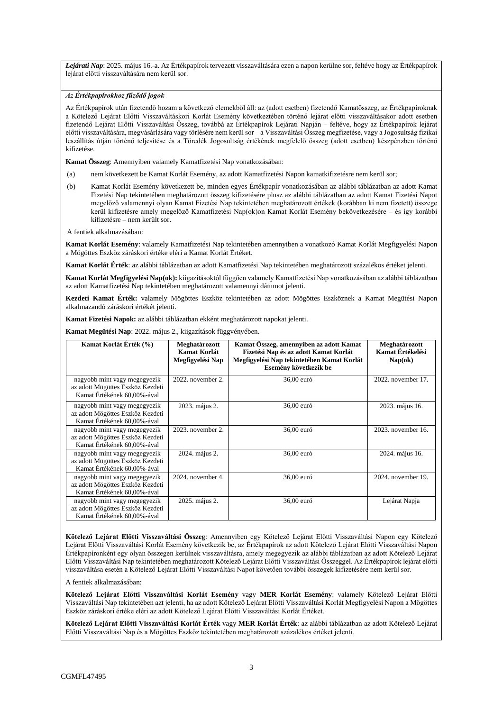*Lejárati Nap*: 2025. május 16.-a. Az Értékpapírok tervezett visszaváltására ezen a napon kerülne sor, feltéve hogy az Értékpapírok lejárat előtti visszaváltására nem kerül sor.

### *Az Értékpapírokhoz fűződő jogok*

Az Értékpapírok után fizetendő hozam a következő elemekből áll: az (adott esetben) fizetendő Kamatösszeg, az Értékpapíroknak a Kötelező Lejárat Előtti Visszaváltáskori Korlát Esemény következtében történő lejárat előtti visszaváltásakor adott esetben fizetendő Lejárat Előtti Visszaváltási Összeg, továbbá az Értékpapírok Lejárati Napján – feltéve, hogy az Értékpapírok lejárat előtti visszaváltására, megvásárlására vagy törlésére nem kerülsor – a Visszaváltási Összeg megfizetése, vagy a Jogosultság fizikai leszállítás útján történő teljesítése és a Töredék Jogosultság értékének megfelelő összeg (adott esetben) készpénzben történő kifizetése.

**Kamat Összeg**: Amennyiben valamely Kamatfizetési Nap vonatkozásában:

- (a) nem következett be Kamat Korlát Esemény, az adott Kamatfizetési Napon kamatkifizetésre nem kerül sor;
- (b) Kamat Korlát Esemény következett be, minden egyes Értékpapír vonatkozásában az alábbi táblázatban az adott Kamat Fizetési Nap tekintetében meghatározott összeg kifizetésére plusz az alábbi táblázatban az adott Kamat Fizetési Napot megelőző valamennyi olyan Kamat Fizetési Nap tekintetében meghatározott értékek (korábban ki nem fizetett) összege kerül kifizetésre amely megelőző Kamatfizetési Nap(ok)on Kamat Korlát Esemény bekövetkezésére – és így korábbi kifizetésre – nem került sor.
- A fentiek alkalmazásában:

**Kamat Korlát Esemény**: valamely Kamatfizetési Nap tekintetében amennyiben a vonatkozó Kamat Korlát Megfigyelési Napon a Mögöttes Eszköz záráskori értéke eléri a Kamat Korlát Értéket.

**Kamat Korlát Érték**: az alábbi táblázatban az adott Kamatfizetési Nap tekintetében meghatározott százalékos értéket jelenti.

**Kamat Korlát Megfigyelési Nap(ok):** kiigazításoktól függően valamely Kamatfizetési Nap vonatkozásában az alábbi táblázatban az adott Kamatfizetési Nap tekintetében meghatározott valamennyi dátumot jelenti.

**Kezdeti Kamat Érték:** valamely Mögöttes Eszköz tekintetében az adott Mögöttes Eszköznek a Kamat Megütési Napon alkalmazandó záráskori értékét jelenti.

**Kamat Fizetési Napok:** az alábbi táblázatban ekként meghatározott napokat jelenti.

**Kamat Megütési Nap**: 2022. május 2., kiigazítások függvényében.

| Kamat Korlát Érték (%)                                                                          | Meghatározott<br>Kamat Korlát<br>Megfigyelési Nap | Kamat Összeg, amennyiben az adott Kamat<br>Fizetési Nap és az adott Kamat Korlát<br>Megfigyelési Nap tekintetében Kamat Korlát<br>Esemény következik be | Meghatározott<br>Kamat Értékelési<br>Nap(ok) |
|-------------------------------------------------------------------------------------------------|---------------------------------------------------|---------------------------------------------------------------------------------------------------------------------------------------------------------|----------------------------------------------|
| nagyobb mint vagy megegyezik<br>az adott Mögöttes Eszköz Kezdeti<br>Kamat Értékének 60.00%-ával | $2022$ . november 2.                              | 36.00 euró                                                                                                                                              | 2022. november 17.                           |
| nagyobb mint vagy megegyezik<br>az adott Mögöttes Eszköz Kezdeti<br>Kamat Értékének 60,00%-ával | 2023. május 2.                                    | 36,00 euró                                                                                                                                              | 2023. május 16.                              |
| nagyobb mint vagy megegyezik<br>az adott Mögöttes Eszköz Kezdeti<br>Kamat Értékének 60,00%-ával | 2023. november 2.                                 | 36,00 euró                                                                                                                                              | 2023. november 16.                           |
| nagyobb mint vagy megegyezik<br>az adott Mögöttes Eszköz Kezdeti<br>Kamat Értékének 60.00%-ával | 2024. május 2.                                    | 36,00 euró                                                                                                                                              | 2024. május 16.                              |
| nagyobb mint vagy megegyezik<br>az adott Mögöttes Eszköz Kezdeti<br>Kamat Értékének 60.00%-ával | $2024.$ november 4.                               | 36,00 euró                                                                                                                                              | 2024. november 19.                           |
| nagyobb mint vagy megegyezik<br>az adott Mögöttes Eszköz Kezdeti<br>Kamat Értékének 60.00%-ával | 2025. május 2.                                    | 36.00 euró                                                                                                                                              | Lejárat Napja                                |

**Kötelező Lejárat Előtti Visszaváltási Összeg**: Amennyiben egy Kötelező Lejárat Előtti Visszaváltási Napon egy Kötelező Lejárat Előtti Visszaváltási Korlát Esemény következik be, az Értékpapírok az adott Kötelező Lejárat Előtti Visszaváltási Napon Értékpapíronként egy olyan összegen kerülnek visszaváltásra, amely megegyezik az alábbi táblázatban az adott Kötelező Lejárat Előtti Visszaváltási Nap tekintetében meghatározott Kötelező Lejárat Előtti Visszaváltási Összeggel. Az Értékpapírok lejárat előtti visszaváltása esetén a Kötelező Lejárat Előtti Visszaváltási Napot követően további összegek kifizetésére nem kerül sor.

A fentiek alkalmazásában:

**Kötelező Lejárat Előtti Visszaváltási Korlát Esemény** vagy **MER Korlát Esemény**: valamely Kötelező Lejárat Előtti Visszaváltási Nap tekintetében azt jelenti, ha az adott Kötelező Lejárat Előtti Visszaváltási Korlát Megfigyelési Napon a Mögöttes Eszköz záráskori értéke eléri az adott Kötelező Lejárat Előtti Visszaváltási Korlát Értéket.

**Kötelező Lejárat Előtti Visszaváltási Korlát Érték** vagy **MER Korlát Érték**: az alábbi táblázatban az adott Kötelező Lejárat Előtti Visszaváltási Nap és a Mögöttes Eszköz tekintetében meghatározott százalékos értéket jelenti.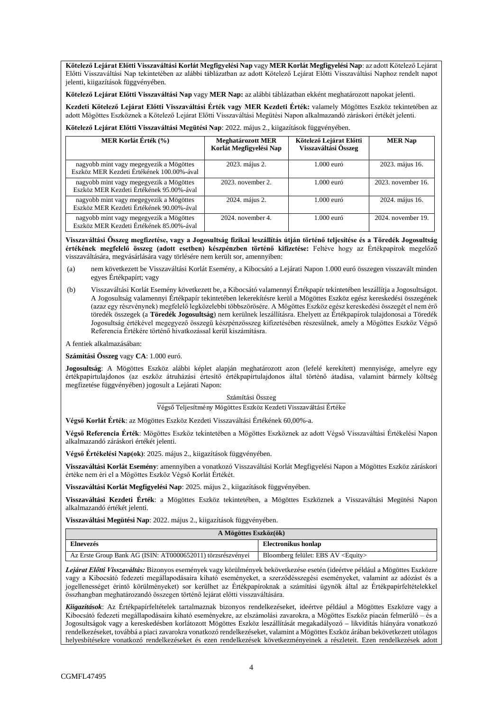**Kötelező Lejárat Előtti Visszaváltási Korlát Megfigyelési Nap** vagy **MER Korlát Megfigyelési Nap**: az adott Kötelező Lejárat Előtti Visszaváltási Nap tekintetében az alábbi táblázatban az adott Kötelező Lejárat Előtti Visszaváltási Naphoz rendelt napot jelenti, kiigazítások függvényében.

**Kötelező Lejárat Előtti Visszaváltási Nap** vagy **MER Nap:** az alábbi táblázatban ekként meghatározott napokat jelenti.

**Kezdeti Kötelező Lejárat Előtti Visszaváltási Érték vagy MER Kezdeti Érték:** valamely Mögöttes Eszköz tekintetében az adott Mögöttes Eszköznek a Kötelező Lejárat Előtti Visszaváltási Megütési Napon alkalmazandó záráskori értékét jelenti.

**Kötelező Lejárat Előtti Visszaváltási Megütési Nap**: 2022. május 2., kiigazítások függvényében.

| MER Korlát Érték (%)                                                                 | <b>Meghatározott MER</b><br>Korlát Megfigyelési Nap | Kötelező Lejárat Előtti<br>Visszaváltási Összeg | <b>MER Nap</b>     |
|--------------------------------------------------------------------------------------|-----------------------------------------------------|-------------------------------------------------|--------------------|
| nagyobb mint vagy megegyezik a Mögöttes<br>Eszköz MER Kezdeti Értékének 100.00%-ával | 2023. május 2.                                      | $1.000$ euró                                    | 2023. május 16.    |
| nagyobb mint vagy megegyezik a Mögöttes<br>Eszköz MER Kezdeti Értékének 95.00%-ával  | $2023.$ november 2.                                 | $1.000$ euró                                    | 2023. november 16. |
| nagyobb mint vagy megegyezik a Mögöttes<br>Eszköz MER Kezdeti Értékének 90.00%-ával  | 2024. május 2.                                      | $1.000$ euró                                    | 2024. május 16.    |
| nagyobb mint vagy megegyezik a Mögöttes<br>Eszköz MER Kezdeti Értékének 85.00%-ával  | $2024.$ november 4.                                 | 1.000 euró                                      | 2024. november 19. |

Visszaváltási Összeg megfizetése, vagy a Jogosultság fizikai leszállítás útján történő teljesítése és a Töredék Jogosultság **értékének megfelelő összeg (adott esetben) készpénzben történő kifizetése:** Feltéve hogy az Értékpapírok megelőző visszaváltására, megvásárlására vagy törlésére nem került sor, amennyiben:

- (a) nem következett be Visszaváltási Korlát Esemény, a Kibocsátó a Lejárati Napon 1.000 euró összegen visszavált minden egyes Értékpapírt; vagy
- (b) Visszaváltási Korlát Esemény következett be, a Kibocsátó valamennyi Értékpapír tekintetében leszállítja a Jogosultságot. A Jogosultság valamennyi Értékpapír tekintetében lekerekítésre kerül a Mögöttes Eszköz egész kereskedési összegének (azaz egy részvénynek) megfelelő legközelebbi többszörösére. A Mögöttes Eszköz egész kereskedési összegét el nem érő töredék összegek (a **Töredék Jogosultság**) nem kerülnek leszállításra. Ehelyett az Értékpapírok tulajdonosai a Töredék Jogosultság értékével megegyező összegű készpénzösszeg kifizetésében részesülnek, amely a Mögöttes Eszköz Végső Referencia Értékére történő hivatkozással kerül kiszámításra.

A fentiek alkalmazásában:

**Számítási Összeg** vagy **CA**: 1.000 euró.

**Jogosultság**: A Mögöttes Eszköz alábbi képlet alapján meghatározott azon (lefelé kerekített) mennyisége, amelyre egy értékpapírtulajdonos (az eszköz átruházási értesítő értékpapírtulajdonos által történő átadása, valamint bármely költség megfizetése függvényében) jogosult a Lejárati Napon:

#### Számítási Összeg

Végső Teljesítmény Mögöttes Eszköz Kezdeti Visszaváltási Értéke

**Végső Korlát Érték**: az Mögöttes Eszköz Kezdeti Visszaváltási Értékének 60,00%-a.

**Végső Referencia Érték**: Mögöttes Eszköz tekintetében a Mögöttes Eszköznek az adott Végső Visszaváltási Értékelési Napon alkalmazandó záráskori értékét jelenti.

**Végső Értékelési Nap(ok)**: 2025. május 2., kiigazítások függvényében.

**Visszaváltási Korlát Esemény**: amennyiben a vonatkozó Visszaváltási Korlát Megfigyelési Napon a Mögöttes Eszköz záráskori értéke nem éri el a Mögöttes Eszköz Végső Korlát Értékét.

**Visszaváltási Korlát Megfigyelési Nap**: 2025. május 2., kiigazítások függvényében.

**Visszaváltási Kezdeti Érték**: a Mögöttes Eszköz tekintetében, a Mögöttes Eszköznek a Visszaváltási Megütési Napon alkalmazandó értékét jelenti.

**Visszaváltási Megütési Nap**: 2022. május 2., kiigazítások függvényében.

| A Mögöttes Eszköz(ök)                                       |                                             |  |  |
|-------------------------------------------------------------|---------------------------------------------|--|--|
| <b>Elnevezés</b>                                            | Electronikus honlap                         |  |  |
| Az Erste Group Bank AG (ISIN: AT0000652011) törzsrészvényei | Bloomberg felület: EBS AV <equity></equity> |  |  |

*Lejárat Előtti Visszaváltás:* Bizonyos események vagy körülmények bekövetkezése esetén (ideértve például a Mögöttes Eszközre vagy a Kibocsátó fedezeti megállapodásaira kiható eseményeket, a szerződésszegési eseményeket, valamint az adózást és a jogellenességet érintő körülményeket) sor kerülhet az Értékpapíroknak a számítási ügynök által az Értékpapírfeltételekkel összhangban meghatározandó összegen történő lejárat előtti visszaváltására.

*Kiigazítások*: Az Értékpapírfeltételek tartalmaznak bizonyos rendelkezéseket, ideértve például a Mögöttes Eszközre vagy a Kibocsátó fedezeti megállapodásaira kiható eseményekre, az elszámolási zavarokra, a Mögöttes Eszköz piacán felmerülő – és a Jogosultságok vagy a kereskedésben korlátozott Mögöttes Eszköz leszállítását megakadályozó – likviditás hiányára vonatkozó rendelkezéseket, továbbá a piaci zavarokra vonatkozó rendelkezéseket, valamint a Mögöttes Eszköz árában bekövetkezett utólagos helyesbítésekre vonatkozó rendelkezéseket és ezen rendelkezések következményeinek a részleteit. Ezen rendelkezések adott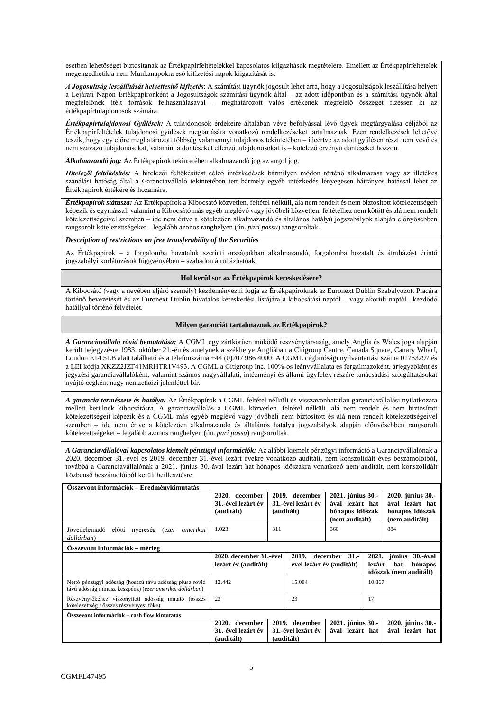esetben lehetőséget biztosítanak az Értékpapírfeltételekkel kapcsolatos kiigazítások megtételére. Emellett az Értékpapírfeltételek megengedhetik a nem Munkanapokra eső kifizetési napok kiigazítását is.

*A Jogosultság leszállítását helyettesítő kifizetés*: A számítási ügynök jogosult lehet arra, hogy a Jogosultságok leszállítása helyett a Lejárati Napon Értékpapíronként a Jogosultságok számítási ügynök által – az adott időpontban és a számítási ügynök által megfelelőnek ítélt források felhasználásával – meghatározott valós értékének megfelelő összeget fizessen ki az értékpapírtulajdonosok számára.

*Értékpapírtulajdonosi Gyűlések:* A tulajdonosok érdekeire általában véve befolyással lévő ügyek megtárgyalása céljából az Értékpapírfeltételek tulajdonosi gyűlések megtartására vonatkozó rendelkezéseket tartalmaznak. Ezen rendelkezések lehetővé teszik, hogy egy előre meghatározott többség valamennyi tulajdonos tekintetében – ideértve az adott gyűlésen részt nem vevő és nem szavazó tulajdonosokat, valamint a döntéseket ellenző tulajdonosokat is – kötelező érvényű döntéseket hozzon.

*Alkalmazandó jog:* Az Értékpapírok tekintetében alkalmazandó jog az angol jog.

*Hitelezői feltőkésítés:* A hitelezői feltőkésítést célzó intézkedések bármilyen módon történő alkalmazása vagy az illetékes szanálási hatóság által a Garanciavállaló tekintetében tett bármely egyéb intézkedés lényegesen hátrányos hatással lehet az Értékpapírok értékére és hozamára.

*Értékpapírok státusza:* Az Értékpapírok a Kibocsátó közvetlen, feltétel nélküli, alá nem rendelt és nem biztosított kötelezettségeit képezik és egymással, valamint a Kibocsátó más egyéb meglévő vagy jövőbeli közvetlen, feltételhez nem kötött és alá nem rendelt kötelezettségeivel szemben – ide nem értve a kötelezően alkalmazandó és általános hatályú jogszabályok alapján előnyösebben rangsorolt kötelezettségeket – legalább azonos ranghelyen (ún. *pari passu*) rangsoroltak.

### *Description of restrictions on free transferability of the Securities*

Az Értékpapírok – a forgalomba hozataluk szerinti országokban alkalmazandó, forgalomba hozatalt és átruházást érintő jogszabályi korlátozások függvényében – szabadon átruházhatóak.

### **Hol kerül sor az Értékpapírok kereskedésére?**

A Kibocsátó (vagy a nevében eljáró személy) kezdeményezni fogja az Értékpapíroknak az Euronext Dublin Szabályozott Piacára történő bevezetését és az Euronext Dublin hivatalos kereskedési listájára a kibocsátási naptól – vagy akörüli naptól –kezdődő hatállyal történő felvételét.

### **Milyen garanciát tartalmaznak az Értékpapírok?**

*A Garanciavállaló rövid bemutatása:* A CGML egy zártkörűen működő részvénytársaság, amely Anglia és Wales joga alapján került bejegyzésre 1983. október 21.-én és amelynek a székhelye Angliában a Citigroup Centre, Canada Square, Canary Wharf, London E14 5LB alatt található és a telefonszáma +44 (0)207 986 4000. A CGML cégbírósági nyilvántartási száma 01763297 és a LEI kódja XKZZ2JZF41MRHTR1V493. A CGML a Citigroup Inc. 100%-os leányvállalata és forgalmazóként, árjegyzőként és jegyzési garanciavállalóként, valamint számos nagyvállalati, intézményi és állami ügyfelek részére tanácsadási szolgáltatásokat nyújtó cégként nagy nemzetközi jelenléttel bír.

*A garancia természete és hatálya:* Az Értékpapírok a CGML feltétel nélküli és visszavonhatatlan garanciavállalási nyilatkozata mellett kerülnek kibocsátásra. A garanciavállalás a CGML közvetlen, feltétel nélküli, alá nem rendelt és nem biztosított kötelezettségeit képezik és a CGML más egyéb meglévő vagy jövőbeli nem biztosított és alá nem rendelt kötelezettségeivel szemben – ide nem értve a kötelezően alkalmazandó és általános hatályú jogszabályok alapján előnyösebben rangsorolt kötelezettségeket – legalább azonos ranghelyen (ún. *pari passu*) rangsoroltak.

*A Garanciavállalóval kapcsolatos kiemelt pénzügyi információk:* Az alábbi kiemelt pénzügyi információ a Garanciavállalónak a 2020. december 31.-ével és 2019. december 31.-ével lezárt évekre vonatkozó auditált, nem konszolidált éves beszámolóiból, továbbá a Garanciavállalónak a 2021. június 30.-ával lezárt hat hónapos időszakra vonatkozó nem auditált, nem konszolidált közbenső beszámolóiból került beillesztésre.

| Osszevont információk – Eredménykimutatás                                                                          |                                                       |                                                    |  |                                                                           |        |                                                                           |
|--------------------------------------------------------------------------------------------------------------------|-------------------------------------------------------|----------------------------------------------------|--|---------------------------------------------------------------------------|--------|---------------------------------------------------------------------------|
|                                                                                                                    | 2020. december<br>31.-ével lezárt év<br>(auditált)    | 2019. december<br>31.-ével lezárt év<br>(auditált) |  | 2021. június 30.-<br>ával lezárt hat<br>hónapos időszak<br>(nem auditált) |        | 2020. június 30.-<br>ával lezárt hat<br>hónapos időszak<br>(nem auditált) |
| Jövedelemadó<br>előtti nyereség (ezer<br>amerikai<br>dollárban)                                                    | 1.023                                                 | 311                                                |  | 360                                                                       |        | 884                                                                       |
| Osszevont információk – mérleg                                                                                     |                                                       |                                                    |  |                                                                           |        |                                                                           |
|                                                                                                                    | 2020. december 31.-ével<br>lezárt év (auditált)       | 2019.                                              |  | december 31.-<br>ével lezárt év (auditált)                                | lezárt | 2021. június<br>30.-ával<br>hónapos<br>hat<br>időszak (nem auditált)      |
| Nettó pénzügyi adósság (hosszú távú adósság plusz rövid<br>távú adósság minusz készpénz) (ezer amerikai dollárban) | 12.442                                                | 15.084                                             |  |                                                                           | 10.867 |                                                                           |
| Részvénytőkéhez viszonyított adósság mutató (összes<br>kötelezettség / összes részvényesi tőke)                    | 23                                                    | 23                                                 |  |                                                                           | 17     |                                                                           |
| Összevont információk – cash flow kimutatás                                                                        |                                                       |                                                    |  |                                                                           |        |                                                                           |
|                                                                                                                    | december<br>2020.<br>31.-ével lezárt év<br>(auditált) | 2019. december<br>31.-ével lezárt év<br>(auditált) |  | 2021. június 30.-<br>ával lezárt hat                                      |        | 2020. június 30.-<br>ával lezárt hat                                      |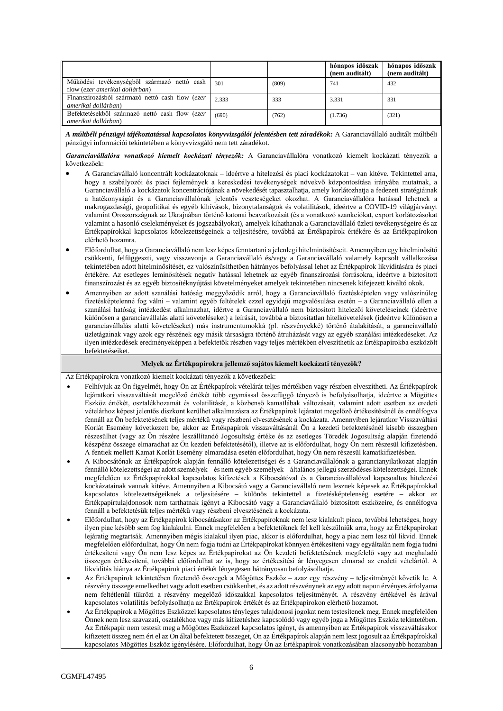|                                                                               |       |       | hónapos időszak<br>(nem auditált) | hónapos időszak<br>(nem auditált) |
|-------------------------------------------------------------------------------|-------|-------|-----------------------------------|-----------------------------------|
| Működési tevékenységből származó nettó cash<br>flow (ezer amerikai dollárban) | 301   | (809) | 741                               | 432                               |
| Finanszírozásból származó nettő cash flow (ezer<br>amerikai dollárban)        | 2.333 | 333   | 3.331                             | 331                               |
| Befektetésekből származó nettó cash flow (ezer<br>amerikai dollárban)         | (690) | (762) | (1.736)                           | (321)                             |

*A múltbéli pénzügyi tájékoztatással kapcsolatos könyvvizsgálói jelentésben tett záradékok:* A Garanciavállaló auditált múltbéli pénzügyi információi tekintetében a könyvvizsgáló nem tett záradékot.

*Garanciavállalóra vonatkozó kiemelt kockázati tényezők:* A Garanciavállalóra vonatkozó kiemelt kockázati tényezők a következőek:

- A Garanciavállaló koncentrált kockázatoknak ideértve a hitelezési és piaci kockázatokat van kitéve. Tekintettel arra, hogy a szabályozói és piaci fejlemények a kereskedési tevékenységek növekvő központosítása irányába mutatnak, a Garanciavállaló a kockázatok koncentrációjának a növekedését tapasztalhatja, amely korlátozhatja a fedezeti stratégiáinak a hatékonyságát és a Garanciavállalónak jelentős veszteségeket okozhat. A Garanciavállalóra hatással lehetnek a makrogazdasági, geopolitikai és egyéb kihívások, bizonytalanságok és volatilitások, ideértve a COVID-19 világjárványt valamint Oroszországnak az Ukrajnában történő katonai beavatkozását (és a vonatkozó szankciókat, export korlátozásokat valamint a hasonló cselekményeket és jogszabályokat), amelyek kihathanak a Garanciavállaló üzleti tevékenységeire és az Értékpapírokkal kapcsolatos kötelezettségeinek a teljesítésére, továbbá az Értékpapírok értékére és az Értékpapírokon elérhető hozamra.
- Előfordulhat, hogy a Garanciavállaló nem lesz képesfenntartani a jelenlegi hitelminősítéseit. Amennyiben egy hitelminősítő csökkenti, felfüggeszti, vagy visszavonja a Garanciavállaló és/vagy a Garanciavállaló valamely kapcsolt vállalkozása tekintetében adott hitelminősítését, ez valószínűsíthetően hátrányos befolyással lehet az Értékpapírok likviditására és piaci értékére. Az esetleges leminősítések negatív hatással lehetnek az egyéb finanszírozási forrásokra, ideértve a biztosított finanszírozást és az egyéb biztosítéknyújtási követelményeket amelyek tekintetében nincsenek kifejezett kiváltó okok.
- Amennyiben az adott szanálási hatóság meggyőződik arról, hogy a Garanciavállaló fizetésképtelen vagy valószínűleg fizetésképtelenné fog válni – valamint egyéb feltételek ezzel egyidejű megvalósulása esetén – a Garanciavállaló ellen a szanálási hatóság intézkedést alkalmazhat, idértve a Garanciavállaló nem biztosított hitelezői követeléseinek (ideértve különösen a garanciavállalás alatti követeléseket) a leírását, továbbá a biztosítatlan hitelkövetelések (ideértve különösen a garanciavállalás alatti követeléseket) más instrumentumokká (pl. részvényekké) történő átalakítását, a garanciavállaló üzletágainak vagy azok egy részének egy másik társaságra történő átruházását vagy az egyéb szanálási intézkedéseket. Az ilyen intézkedések eredményeképpen a befektetők részben vagy teljes mértékben elveszíthetik az Értékpapírokba eszközölt befektetéseiket.

### **Melyek az Értékpapírokra jellemző sajátos kiemelt kockázati tényezők?**

Az Értékpapírokra vonatkozó kiemelt kockázati tényezők a következőek:

- Felhívjuk az Ön figyelmét, hogy Ön az Értékpapírok vételárát teljes mértékben vagy részben elveszítheti. Az Értékpapírok lejáratkori visszaváltását megelőző értékét több egymással összefüggő tényező is befolyásolhatja, ideértve a Mögöttes Eszköz értékét, osztalékhozamát és volatilitását, a közbenső kamatlábak változásait, valamint adott esetben az eredeti vételárhoz képest jelentős diszkont kerülhet alkalmazásra az Értékpapírok lejáratot megelőző értékesítésénél és ennélfogva fennáll az Ön befektetésének teljes mértékű vagy részbeni elvesztésének a kockázata. Amennyiben lejáratkor Visszaváltási Korlát Esemény következett be, akkor az Értékpapírok visszaváltásánál Ön a kezdeti befektetésénél kisebb összegben részesülhet (vagy az Ön részére leszállítandó Jogosultság értéke és az esetleges Töredék Jogosultság alapján fizetendő készpénz összege elmaradhat az Ön kezdeti befektetésétől), illetve az is előfordulhat, hogy Ön nem részesül kifizetésben. A fentiek mellett Kamat Korlát Esemény elmaradása esetén előfordulhat, hogy Ön nem részesül kamatkifizetésben.
- A Kibocsátónak az Értékpapírok alapján fennálló kötelezettségei és a Garanciavállalónak a garancianyilatkozat alapján fennálló kötelezettségei az adottszemélyek – és nem egyéb személyek – általánosjellegű szerződéses kötelezettségei. Ennek megfelelően az Értékpapírokkal kapcsolatos kifizetések a Kibocsátóval és a Garanciavállalóval kapcsoaltos hitelezési kockázatainak vannak kitéve. Amennyiben a Kibocsátó vagy a Garanciavállaló nem lesznek képesek az Értékpapírokkal kapcsolatos kötelezettségeiknek a teljesítésére – különös tekintettel a fizetésképtelenség esetére – akkor az Értékpapírtulajdonosok nem tarthatnak igényt a Kibocsátó vagy a Garanciavállaló biztosított eszközeire, és ennélfogva fennáll a befektetésük teljes mértékű vagy részbeni elvesztésének a kockázata.
- Előfordulhat, hogy az Értékpapírok kibocsátásakor az Értékpapíroknak nem lesz kialakult piaca, továbbá lehetséges, hogy ilyen piac később sem fog kialakulni. Ennek megfelelően a befektetőknek fel kell készülniük arra, hogy az Értékpapírokat lejáratig megtartsák. Amennyiben mégis kialakul ilyen piac, akkor is előfordulhat, hogy a piac nem lesz túl likvid. Ennek megfelelően előfordulhat, hogy Ön nem fogja tudni az Értékpapírokat könnyen értékesíteni vagy egyáltalán nem fogja tudni értékesíteni vagy Ön nem lesz képes az Értékpapírokat az Ön kezdeti befektetésének megfelelő vagy azt meghaladó összegen értékesíteni, továbbá előfordulhat az is, hogy az értékesítési ár lényegesen elmarad az eredeti vételártól. A likviditás hiánya az Értékpapírok piaci értékét lényegesen hátrányosan befolyásolhatja.
- Az Értékpapírok tekintetében fizetendő összegek a Mögöttes Eszköz azaz egy részvény teljesítményét követik le. A részvény összege emelkedhet vagy adott esetben csökkenhet, és az adott részvénynek az egy adott napon érvényes árfolyama nem feltétlenül tükrözi a részvény megelőző időszakkal kapcsolatos teljesítményét. A részvény értékével és árával kapcsolatos volatilitás befolyásolhatja az Értékpapírok értékét és az Értékpapírokon elérhető hozamot.
- Az Értékpapírok a Mögöttes Eszközzel kapcsolatos tényleges tulajdonosi jogokat nem testesítenek meg. Ennek megfelelően Önnek nem lesz szavazati, osztalékhoz vagy más kifizetéshez kapcsolódó vagy egyéb joga a Mögöttes Eszköz tekintetében. Az Értékpapír nem testesít meg a Mögöttes Eszközzel kapcsolatos igényt, és amennyiben az Értékpapírok visszaváltásakor kifizetett összeg nem éri el az Ön által befektetett összeget, Ön az Értékpapírok alapján nem lesz jogosult az Értékpapírokkal kapcsolatos Mögöttes Eszköz igénylésére. Előfordulhat, hogy Ön az Értékpapírok vonatkozásában alacsonyabb hozamban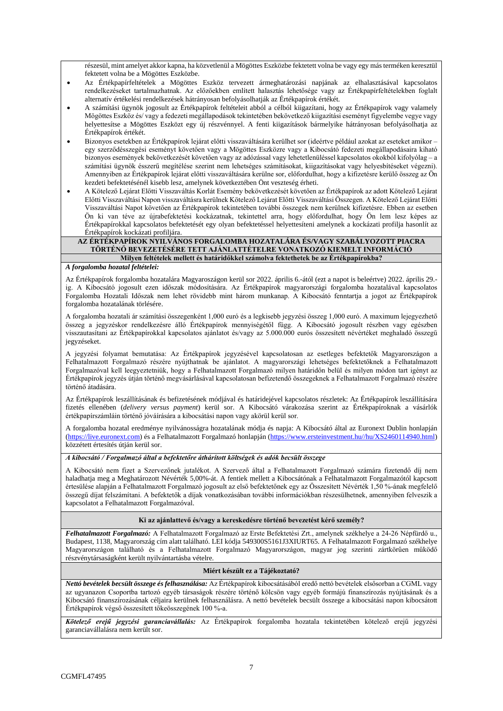részesül, mint amelyet akkor kapna, ha közvetlenül a Mögöttes Eszközbe fektetett volna be vagy egy más terméken keresztül fektetett volna be a Mögöttes Eszközbe.

- Az Értékpapírfeltételek a Mögöttes Eszköz tervezett ármeghatározási napjának az elhalasztásával kapcsolatos rendelkezéseket tartalmazhatnak. Az előzőekben említett halasztás lehetősége vagy az Értékpapírfeltételekben foglalt alternatív értékelési rendelkezések hátrányosan befolyásolhatják az Értékpapírok értékét.
- A számítási ügynök jogosult az Értékpapírok feltételeit abból a célból kiigazítani, hogy az Értékpapírok vagy valamely Mögöttes Eszköz és/ vagy a fedezeti megállapodások tekintetében bekövetkező kiigazítási eseményt figyelembe vegye vagy helyettesítse a Mögöttes Eszközt egy új részvénnyel. A fenti kiigazítások bármelyike hátrányosan befolyásolhatja az Értékpapírok értékét.
- Bizonyos esetekben az Értékpapírok lejárat előtti visszaváltására kerülhet sor (ideértve például azokat az eseteket amikor egy szerződésszegési eseményt követően vagy a Mögöttes Eszközre vagy a Kibocsátó fedezeti megállapodásaira kiható bizonyos események bekövetkezését követően vagy az adózással vagy lehetetlenüléssel kapcsolatos okokból kifolyólag – a számítási ügynök ésszerű megítélése szerint nem lehetséges számításokat, kiigazításokat vagy helyesbítéseket végezni). Amennyiben az Értékpapírok lejárat előtti visszaváltására kerülne sor, előfordulhat, hogy a kifizetésre kerülő összeg az Ön kezdeti befektetésénél kisebb lesz, amelynek következtében Önt veszteség érheti.
- A Kötelező Lejárat Előtti Visszaváltás Korlát Esemény bekövetkezését követően az Értékpapírok az adott Kötelező Lejárat Előtti Visszaváltási Napon visszaváltásra kerülnek Kötelező Lejárat Előtti Visszaváltási Összegen. A Kötelező Lejárat Előtti Visszaváltási Napot követően az Értékpapírok tekintetében további összegek nem kerülnek kifizetésre. Ebben az esetben Ön ki van téve az újrabefektetési kockázatnak, tekintettel arra, hogy előfordulhat, hogy Ön lem lesz képes az Értékpapírokkal kapcsolatos befektetését egy olyan befektetéssel helyettesíteni amelynek a kockázati profilja hasonlít az Értékpapírok kockázati profiljára.

#### **AZ ÉRTÉKPAPÍROK NYILVÁNOS FORGALOMBA HOZATALÁRA ÉS/VAGY SZABÁLYOZOTT PIACRA TÖRTÉNŐ BEVEZETÉSÉRE TETT AJÁNLATTÉTELRE VONATKOZÓ KIEMELT INFORMÁCIÓ Milyen feltételek mellett és határidőkkel számolva fektethetek be az Értékpapírokba?**

## *A forgalomba hozatal feltételei:*

Az Értékpapírok forgalomba hozatalára Magyaroszágon kerül sor 2022. április 6.-ától (ezt a napot is beleértve) 2022. április 29. ig. A Kibocsátó jogosult ezen időszak módosítására. Az Értékpapírok magyarországi forgalomba hozatalával kapcsolatos Forgalomba Hozatali Időszak nem lehet rövidebb mint három munkanap. A Kibocsátó fenntartja a jogot az Értékpapírok forgalomba hozatalának törlésére.

A forgalomba hozatali ár számítási összegenként 1,000 euró és a legkisebb jegyzési összeg 1,000 euró. A maximum lejegyezhető összeg a jegyzéskor rendelkezésre álló Értékpapírok mennyiségétől függ. A Kibocsátó jogosult részben vagy egészben visszautasítani az Értékpapírokkal kapcsolatos ajánlatot és/vagy az 5.000.000 eurós összesített névértéket meghaladó összegű jegyzéseket.

A jegyzési folyamat bemutatása: Az Értékpapírok jegyzésével kapcsolatosan az esetleges befektetők Magyarországon a Felhatalmazott Forgalmazó részére nyújthatnak be ajánlatot. A magyarországi lehetséges befektetőknek a Felhatalmazott Forgalmazóval kell leegyeztetniük, hogy a Felhatalmazott Forgalmazó milyen határidőn belül és milyen módon tart igényt az Értékpapírok jegyzés útján történő megvásárlásával kapcsolatosan befizetendő összegeknek a Felhatalmazott Forgalmazó részére történő átadására.

Az Értékpapírok leszállításának és befizetésének módjával és határidejével kapcsolatos részletek: Az Értékpapírok leszállítására fizetés ellenében (*delivery versus payment*) kerül sor. A Kibocsátó várakozása szerint az Értékpapíroknak a vásárlók értékpapírszámláin történő jóváírására a kibocsátási napon vagy akörül kerül sor.

A forgalomba hozatal eredménye nyilvánosságra hozatalának módja és napja: A Kibocsátó által az Euronext Dublin honlapján [\(https://live.euronext.com\)](https://live.euronext.com/) és a Felhatalmazott Forgalmazó honlapján [\(https://www.ersteinvestment.hu//hu/XS2460114940.html\)](https://www.ersteinvestment.hu/hu/XS2460114940.html) közzétett értesítés útján kerül sor.

### *A kibocsátó / Forgalmazó által a befektetőre áthárított költségek és adók becsült összege*

A Kibocsátó nem fizet a Szervezőnek jutalékot. A Szervező által a Felhatalmazott Forgalmazó számára fizetendő díj nem haladhatja meg a Meghatározott Névérték 5,00%-át. A fentiek mellett a Kibocsátónak a Felhatalmazott Forgalmazótól kapcsott értesülése alapján a Felhatalmazott Forgalmazó jogosult az első befektetőnek egy az Összesített Névérték 1,50 %-ának megfelelő összegű díjat felszámítani. A befektetők a díjak vonatkozásában további információkban részesülhetnek, amennyiben felveszik a kapcsolatot a Felhatalmazott Forgalmazóval.

### **Ki az ajánlattevő és/vagy a kereskedésre történő bevezetést kérő személy?**

*Felhatalmazott Forgalmazó:* A Felhatalmazott Forgalmazó az Erste Befektetési Zrt., amelynek székhelye a 24-26 Népfürdő u., Budapest, 1138, Magyarország cím alatt található. LEI kódja 549300S5161J3XIURT65. A Felhatalmazott Forgalmazó székhelye Magyarországon található és a Felhatalmazott Forgalmazó Magyarországon, magyar jog szerinti zártkörűen működő részvénytársaságként került nyilvántartásba vételre.

### **Miért készült ez a Tájékoztató?**

*Nettó bevételek becsült összege és felhasználása:* Az Értékpapírok kibocsátásából eredő nettó bevételek elsősorban a CGML vagy az ugyanazon Csoportba tartozó egyéb társaságok részére történő kölcsön vagy egyéb formájú finanszírozás nyújtásának és a Kibocsátó finanszírozásának céljaira kerülnek felhasználásra. A nettó bevételek becsült összege a kibocsátási napon kibocsátott Értékpapírok végső összesített tőkeösszegének 100 %-a.

*Kötelező erejű jegyzési garanciavállalás:* Az Értékpapírok forgalomba hozatala tekintetében kötelező erejű jegyzési garanciavállalásra nem került sor.